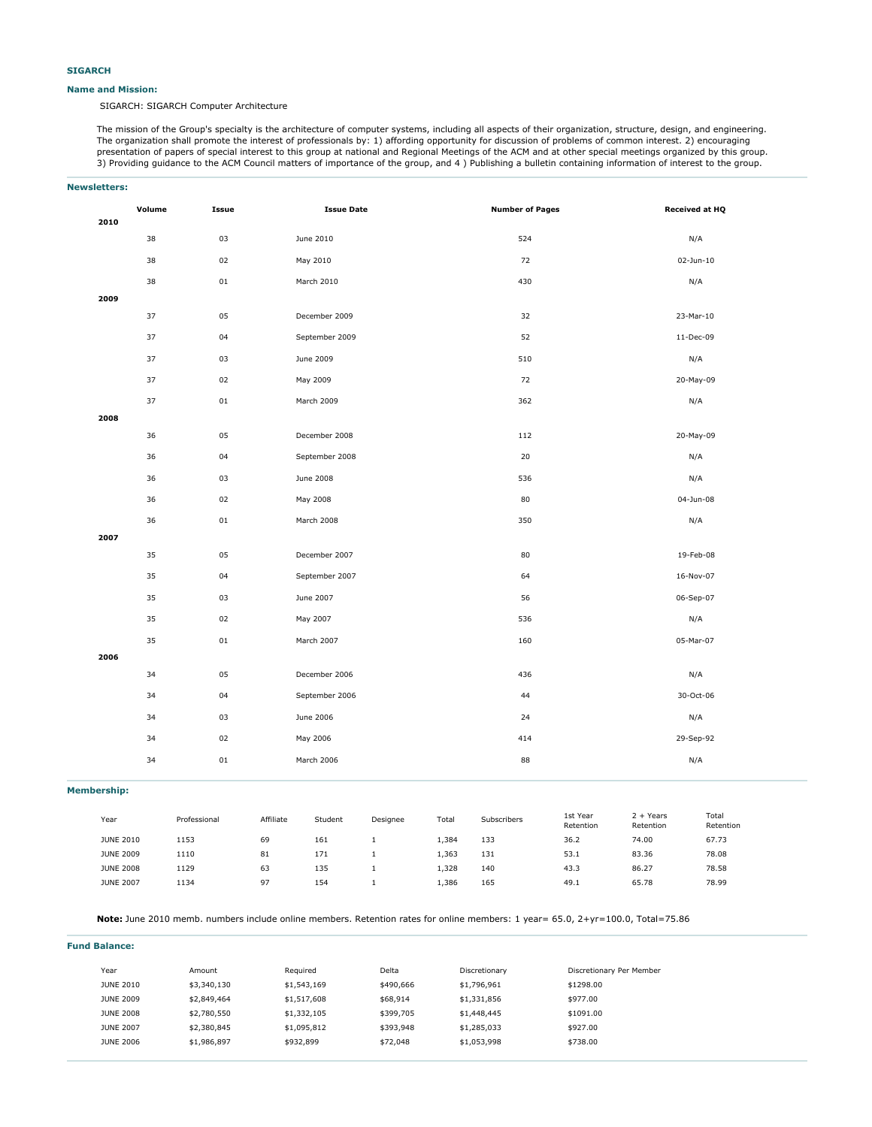#### **Name and Mission:**

SIGARCH: SIGARCH Computer Architecture

The mission of the Group's specialty is the architecture of computer systems, including all aspects of their organization, structure, design, and engineering. The organization shall promote the interest of professionals by: 1) affording opportunity for discussion of problems of common interest. 2) encouraging presentation of papers of special interest to this group at national and Regional Meetings of the ACM and at other special meetings organized by this group. 3) Providing guidance to the ACM Council matters of importance of the group, and 4 ) Publishing a bulletin containing information of interest to the group.

| <b>Newsletters:</b> |                  |              |           |                   |          |       |                        |                       |                          |                    |
|---------------------|------------------|--------------|-----------|-------------------|----------|-------|------------------------|-----------------------|--------------------------|--------------------|
|                     | Volume<br>2010   | Issue        |           | <b>Issue Date</b> |          |       | <b>Number of Pages</b> |                       |                          | Received at HQ     |
|                     | 38               | 03           |           | June 2010         |          |       | 524                    |                       |                          | N/A                |
|                     | 38               | 02           |           | May 2010          |          |       | 72                     |                       |                          | 02-Jun-10          |
|                     | 38               | $01\,$       |           | March 2010        |          |       | 430                    |                       |                          | N/A                |
|                     | 2009             |              |           |                   |          |       |                        |                       |                          |                    |
|                     | 37               | 05           |           | December 2009     |          |       | 32                     |                       |                          | 23-Mar-10          |
|                     | 37               | 04           |           | September 2009    |          |       | 52                     |                       |                          | 11-Dec-09          |
|                     | 37               | 03           |           | June 2009         |          |       | 510                    |                       |                          | N/A                |
|                     | 37               | 02           |           | May 2009          |          |       | 72                     |                       |                          | 20-May-09          |
|                     | 37               | $01\,$       |           | March 2009        |          |       | 362                    |                       |                          | N/A                |
|                     | 2008             |              |           |                   |          |       |                        |                       |                          |                    |
|                     | 36               | 05           |           | December 2008     |          |       | 112                    |                       |                          | 20-May-09          |
|                     | 36               | 04           |           | September 2008    |          |       | $20\,$                 |                       |                          | N/A                |
|                     | 36               | 03           |           | June 2008         |          |       | 536                    |                       |                          | N/A                |
|                     | 36               | 02           |           | May 2008          |          |       | 80                     |                       |                          | 04-Jun-08          |
|                     | 36               | 01           |           | March 2008        |          |       | 350                    |                       |                          | N/A                |
|                     | 2007             |              |           |                   |          |       |                        |                       |                          |                    |
|                     | 35               | 05           |           | December 2007     |          |       | 80                     |                       |                          | 19-Feb-08          |
|                     | 35               | 04           |           | September 2007    |          |       | 64                     |                       |                          | 16-Nov-07          |
|                     | 35               | 03           |           | June 2007         |          |       | 56                     |                       |                          | 06-Sep-07          |
|                     | 35               | 02           |           | May 2007          |          |       | 536                    |                       |                          | N/A                |
|                     | 35               | 01           |           | March 2007        |          |       | 160                    |                       |                          | 05-Mar-07          |
|                     | 2006             |              |           |                   |          |       |                        |                       |                          |                    |
|                     | 34               | 05           |           | December 2006     |          |       | 436                    |                       |                          | N/A                |
|                     | 34               | 04           |           | September 2006    |          |       | 44                     |                       |                          | 30-Oct-06          |
|                     | 34               | 03           |           | June 2006         |          |       | 24                     |                       |                          | N/A                |
|                     | 34               | 02           |           | May 2006          |          |       | 414                    |                       |                          | 29-Sep-92          |
|                     | 34               | 01           |           | March 2006        |          |       | 88                     |                       |                          | N/A                |
|                     |                  |              |           |                   |          |       |                        |                       |                          |                    |
| <b>Membership:</b>  |                  |              |           |                   |          |       |                        |                       |                          |                    |
|                     | Year             | Professional | Affiliate | Student           | Designee | Total | Subscribers            | 1st Year<br>Retention | $2 + Years$<br>Retention | Total<br>Retention |
|                     | <b>JUNE 2010</b> | 1153         | 69        | 161               | $\,1\,$  | 1,384 | 133                    | 36.2                  | 74.00                    | 67.73              |
|                     | <b>JUNE 2009</b> | 1110         | 81        | 171               | $\,1\,$  | 1,363 | 131                    | 53.1                  | 83.36                    | 78.08              |
|                     | <b>JUNE 2008</b> | 1129         | 63        | 135               | $\,1\,$  | 1,328 | 140                    | 43.3                  | 86.27                    | 78.58              |
|                     | <b>JUNE 2007</b> | 1134         | 97        | 154               | $\,1\,$  | 1,386 | 165                    | 49.1                  | 65.78                    | 78.99              |

**Note:** June 2010 memb. numbers include online members. Retention rates for online members: 1 year= 65.0, 2+yr=100.0, Total=75.86

| <b>Fund Balance:</b> |             |             |           |               |                          |  |  |  |  |  |  |
|----------------------|-------------|-------------|-----------|---------------|--------------------------|--|--|--|--|--|--|
| Year                 | Amount      | Required    | Delta     | Discretionary | Discretionary Per Member |  |  |  |  |  |  |
| <b>JUNE 2010</b>     | \$3,340,130 | \$1,543,169 | \$490,666 | \$1,796,961   | \$1298.00                |  |  |  |  |  |  |
| <b>JUNE 2009</b>     | \$2,849,464 | \$1,517,608 | \$68,914  | \$1,331,856   | \$977.00                 |  |  |  |  |  |  |
| <b>JUNE 2008</b>     | \$2,780,550 | \$1,332,105 | \$399,705 | \$1,448,445   | \$1091.00                |  |  |  |  |  |  |
| <b>JUNE 2007</b>     | \$2,380,845 | \$1,095,812 | \$393,948 | \$1,285,033   | \$927.00                 |  |  |  |  |  |  |
| <b>JUNE 2006</b>     | \$1,986,897 | \$932,899   | \$72,048  | \$1,053,998   | \$738.00                 |  |  |  |  |  |  |
|                      |             |             |           |               |                          |  |  |  |  |  |  |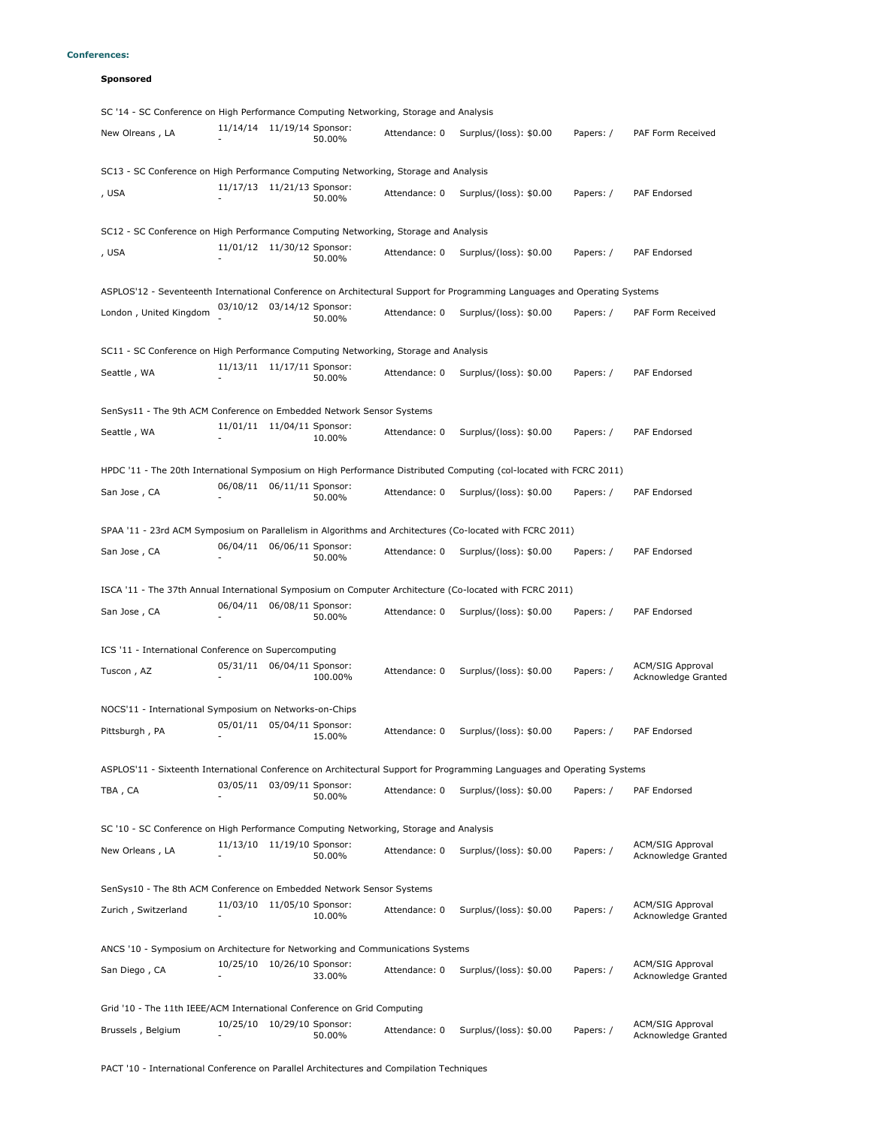# **Conferences:**

# **Sponsored**

| SC '14 - SC Conference on High Performance Computing Networking, Storage and Analysis                                     |                              |                             |               |                                                                                                          |           |                                                |
|---------------------------------------------------------------------------------------------------------------------------|------------------------------|-----------------------------|---------------|----------------------------------------------------------------------------------------------------------|-----------|------------------------------------------------|
| New Olreans, LA                                                                                                           | 11/14/14 11/19/14 Sponsor:   | 50.00%                      | Attendance: 0 | Surplus/(loss): \$0.00                                                                                   | Papers: / | PAF Form Received                              |
| SC13 - SC Conference on High Performance Computing Networking, Storage and Analysis                                       |                              |                             |               |                                                                                                          |           |                                                |
| , USA                                                                                                                     | 11/17/13 11/21/13 Sponsor:   | 50.00%                      | Attendance: 0 | Surplus/(loss): \$0.00                                                                                   | Papers: / | <b>PAF Endorsed</b>                            |
| SC12 - SC Conference on High Performance Computing Networking, Storage and Analysis                                       |                              |                             |               |                                                                                                          |           |                                                |
| , USA                                                                                                                     | 11/01/12 11/30/12 Sponsor:   | 50.00%                      | Attendance: 0 | Surplus/(loss): \$0.00                                                                                   | Papers: / | PAF Endorsed                                   |
| ASPLOS'12 - Seventeenth International Conference on Architectural Support for Programming Languages and Operating Systems |                              |                             |               |                                                                                                          |           |                                                |
| London, United Kingdom                                                                                                    | 03/10/12 03/14/12 Sponsor:   | 50.00%                      | Attendance: 0 | Surplus/(loss): \$0.00                                                                                   | Papers: / | PAF Form Received                              |
| SC11 - SC Conference on High Performance Computing Networking, Storage and Analysis                                       |                              |                             |               |                                                                                                          |           |                                                |
| Seattle, WA                                                                                                               | 11/13/11  11/17/11  Sponsor: | 50.00%                      | Attendance: 0 | Surplus/(loss): \$0.00                                                                                   | Papers: / | PAF Endorsed                                   |
| SenSys11 - The 9th ACM Conference on Embedded Network Sensor Systems                                                      |                              |                             |               |                                                                                                          |           |                                                |
| Seattle, WA                                                                                                               | 11/01/11  11/04/11  Sponsor: | 10.00%                      | Attendance: 0 | Surplus/(loss): \$0.00                                                                                   | Papers: / | <b>PAF Endorsed</b>                            |
| HPDC '11 - The 20th International Symposium on High Performance Distributed Computing (col-located with FCRC 2011)        |                              |                             |               |                                                                                                          |           |                                                |
| San Jose, CA                                                                                                              | 06/08/11 06/11/11 Sponsor:   | 50.00%                      | Attendance: 0 | Surplus/(loss): \$0.00                                                                                   | Papers: / | PAF Endorsed                                   |
|                                                                                                                           |                              |                             |               | SPAA '11 - 23rd ACM Symposium on Parallelism in Algorithms and Architectures (Co-located with FCRC 2011) |           |                                                |
| San Jose, CA                                                                                                              | 06/04/11 06/06/11 Sponsor:   | 50.00%                      | Attendance: 0 | Surplus/(loss): \$0.00                                                                                   | Papers: / | PAF Endorsed                                   |
| ISCA '11 - The 37th Annual International Symposium on Computer Architecture (Co-located with FCRC 2011)                   |                              |                             |               |                                                                                                          |           |                                                |
| San Jose, CA                                                                                                              | 06/04/11                     | 06/08/11 Sponsor:<br>50.00% | Attendance: 0 | Surplus/(loss): \$0.00                                                                                   | Papers: / | PAF Endorsed                                   |
| ICS '11 - International Conference on Supercomputing                                                                      |                              |                             |               |                                                                                                          |           |                                                |
| Tuscon, AZ                                                                                                                | 05/31/11 06/04/11 Sponsor:   | 100.00%                     | Attendance: 0 | Surplus/(loss): \$0.00                                                                                   | Papers: / | <b>ACM/SIG Approval</b><br>Acknowledge Granted |
| NOCS'11 - International Symposium on Networks-on-Chips                                                                    |                              |                             |               |                                                                                                          |           |                                                |
| Pittsburgh, PA                                                                                                            | 05/01/11 05/04/11 Sponsor:   | 15.00%                      | Attendance: 0 | Surplus/(loss): \$0.00                                                                                   | Papers: / | <b>PAF Endorsed</b>                            |
| ASPLOS'11 - Sixteenth International Conference on Architectural Support for Programming Languages and Operating Systems   |                              |                             |               |                                                                                                          |           |                                                |
| TBA, CA                                                                                                                   | 03/05/11 03/09/11 Sponsor:   | 50.00%                      | Attendance: 0 | Surplus/(loss): \$0.00                                                                                   | Papers: / | PAF Endorsed                                   |
|                                                                                                                           |                              |                             |               |                                                                                                          |           |                                                |
| SC '10 - SC Conference on High Performance Computing Networking, Storage and Analysis                                     | 11/13/10 11/19/10 Sponsor:   |                             |               |                                                                                                          |           | <b>ACM/SIG Approval</b>                        |
| New Orleans, LA                                                                                                           |                              | 50.00%                      | Attendance: 0 | Surplus/(loss): \$0.00                                                                                   | Papers: / | Acknowledge Granted                            |
| SenSys10 - The 8th ACM Conference on Embedded Network Sensor Systems                                                      |                              |                             |               |                                                                                                          |           |                                                |
| Zurich, Switzerland                                                                                                       | 11/03/10 11/05/10 Sponsor:   | 10.00%                      | Attendance: 0 | Surplus/(loss): \$0.00                                                                                   | Papers: / | <b>ACM/SIG Approval</b><br>Acknowledge Granted |
| ANCS '10 - Symposium on Architecture for Networking and Communications Systems                                            |                              |                             |               |                                                                                                          |           |                                                |
| San Diego, CA                                                                                                             | 10/25/10 10/26/10 Sponsor:   | 33.00%                      | Attendance: 0 | Surplus/(loss): \$0.00                                                                                   | Papers: / | <b>ACM/SIG Approval</b><br>Acknowledge Granted |
| Grid '10 - The 11th IEEE/ACM International Conference on Grid Computing                                                   |                              |                             |               |                                                                                                          |           |                                                |
| Brussels, Belgium                                                                                                         | 10/25/10 10/29/10 Sponsor:   | 50.00%                      | Attendance: 0 | Surplus/(loss): \$0.00                                                                                   | Papers: / | <b>ACM/SIG Approval</b><br>Acknowledge Granted |
|                                                                                                                           |                              |                             |               |                                                                                                          |           |                                                |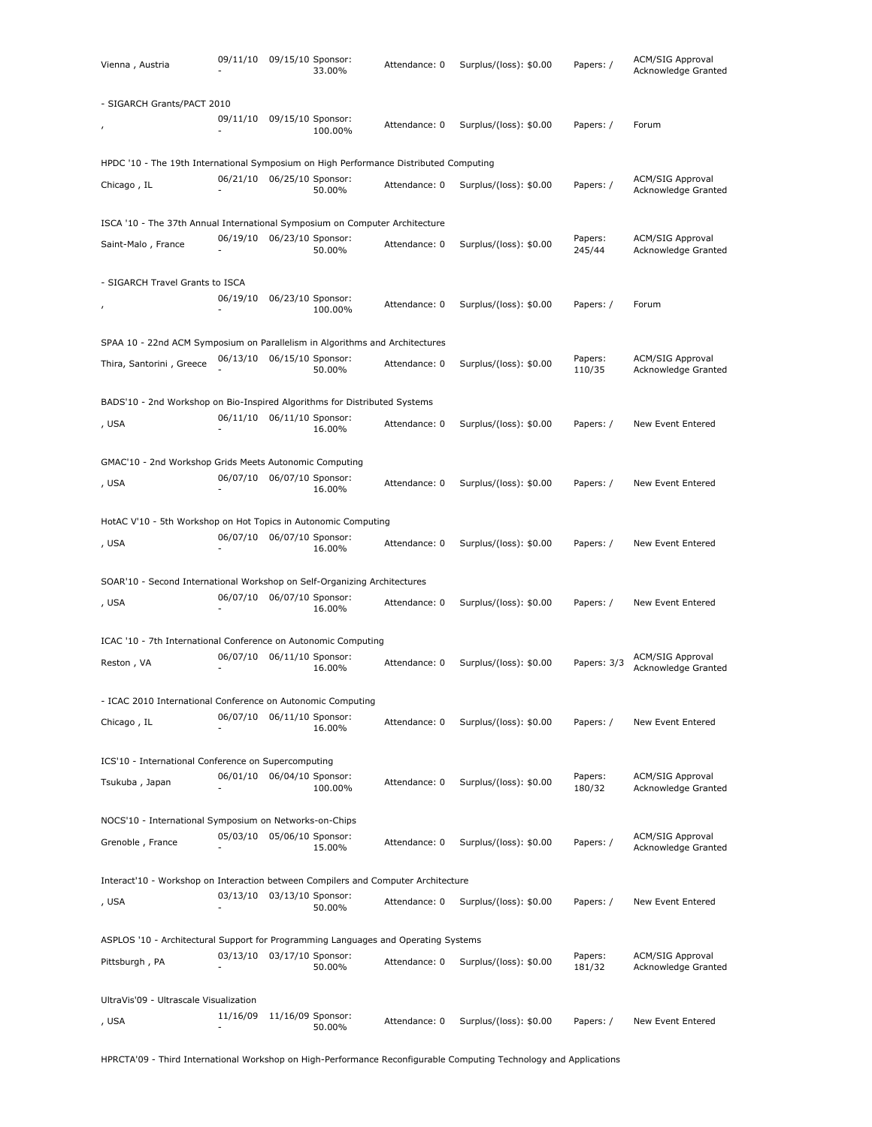| Vienna, Austria                                                                       | 09/11/10 09/15/10 Sponsor: |                   | 33.00%  | Attendance: 0 | Surplus/(loss): \$0.00 | Papers: /         | <b>ACM/SIG Approval</b><br>Acknowledge Granted |
|---------------------------------------------------------------------------------------|----------------------------|-------------------|---------|---------------|------------------------|-------------------|------------------------------------------------|
| - SIGARCH Grants/PACT 2010                                                            |                            |                   |         |               |                        |                   |                                                |
|                                                                                       | 09/11/10                   | 09/15/10 Sponsor: | 100.00% | Attendance: 0 | Surplus/(loss): \$0.00 | Papers: /         | Forum                                          |
| HPDC '10 - The 19th International Symposium on High Performance Distributed Computing |                            |                   |         |               |                        |                   |                                                |
| Chicago, IL                                                                           | 06/21/10                   | 06/25/10 Sponsor: | 50.00%  | Attendance: 0 | Surplus/(loss): \$0.00 | Papers: /         | <b>ACM/SIG Approval</b><br>Acknowledge Granted |
| ISCA '10 - The 37th Annual International Symposium on Computer Architecture           |                            |                   |         |               |                        |                   |                                                |
| Saint-Malo, France                                                                    | 06/19/10 06/23/10 Sponsor: |                   | 50.00%  | Attendance: 0 | Surplus/(loss): \$0.00 | Papers:<br>245/44 | <b>ACM/SIG Approval</b><br>Acknowledge Granted |
| - SIGARCH Travel Grants to ISCA                                                       |                            |                   |         |               |                        |                   |                                                |
|                                                                                       | 06/19/10                   | 06/23/10 Sponsor: | 100.00% | Attendance: 0 | Surplus/(loss): \$0.00 | Papers: /         | Forum                                          |
| SPAA 10 - 22nd ACM Symposium on Parallelism in Algorithms and Architectures           |                            |                   |         |               |                        |                   |                                                |
| Thira, Santorini, Greece                                                              | 06/13/10                   | 06/15/10 Sponsor: | 50.00%  | Attendance: 0 | Surplus/(loss): \$0.00 | Papers:<br>110/35 | <b>ACM/SIG Approval</b><br>Acknowledge Granted |
| BADS'10 - 2nd Workshop on Bio-Inspired Algorithms for Distributed Systems             |                            |                   |         |               |                        |                   |                                                |
| , USA                                                                                 | 06/11/10 06/11/10 Sponsor: |                   | 16.00%  | Attendance: 0 | Surplus/(loss): \$0.00 | Papers: /         | New Event Entered                              |
| GMAC'10 - 2nd Workshop Grids Meets Autonomic Computing                                |                            |                   |         |               |                        |                   |                                                |
| , USA                                                                                 | 06/07/10 06/07/10 Sponsor: |                   | 16.00%  | Attendance: 0 | Surplus/(loss): \$0.00 | Papers: /         | New Event Entered                              |
| HotAC V'10 - 5th Workshop on Hot Topics in Autonomic Computing                        |                            |                   |         |               |                        |                   |                                                |
| , USA                                                                                 | 06/07/10                   | 06/07/10 Sponsor: | 16.00%  | Attendance: 0 | Surplus/(loss): \$0.00 | Papers: /         | New Event Entered                              |
| SOAR'10 - Second International Workshop on Self-Organizing Architectures              |                            |                   |         |               |                        |                   |                                                |
| , USA                                                                                 | 06/07/10 06/07/10 Sponsor: |                   | 16.00%  | Attendance: 0 | Surplus/(loss): \$0.00 | Papers: /         | New Event Entered                              |
| ICAC '10 - 7th International Conference on Autonomic Computing                        |                            |                   |         |               |                        |                   |                                                |
| Reston, VA                                                                            | 06/07/10                   | 06/11/10 Sponsor: | 16.00%  | Attendance: 0 | Surplus/(loss): \$0.00 | Papers: 3/3       | ACM/SIG Approval<br>Acknowledge Granted        |
| - ICAC 2010 International Conference on Autonomic Computing                           |                            |                   |         |               |                        |                   |                                                |
| Chicago, IL                                                                           | 06/07/10                   | 06/11/10 Sponsor: | 16.00%  | Attendance: 0 | Surplus/(loss): \$0.00 | Papers: /         | New Event Entered                              |
| ICS'10 - International Conference on Supercomputing                                   |                            |                   |         |               |                        |                   |                                                |
| Tsukuba, Japan                                                                        | 06/01/10 06/04/10 Sponsor: |                   | 100.00% | Attendance: 0 | Surplus/(loss): \$0.00 | Papers:<br>180/32 | <b>ACM/SIG Approval</b><br>Acknowledge Granted |
| NOCS'10 - International Symposium on Networks-on-Chips                                |                            |                   |         |               |                        |                   |                                                |
| Grenoble, France                                                                      | 05/03/10                   | 05/06/10 Sponsor: | 15.00%  | Attendance: 0 | Surplus/(loss): \$0.00 | Papers: /         | <b>ACM/SIG Approval</b><br>Acknowledge Granted |
| Interact'10 - Workshop on Interaction between Compilers and Computer Architecture     |                            |                   |         |               |                        |                   |                                                |
| , USA                                                                                 | 03/13/10 03/13/10 Sponsor: |                   | 50.00%  | Attendance: 0 | Surplus/(loss): \$0.00 | Papers: /         | New Event Entered                              |
| ASPLOS '10 - Architectural Support for Programming Languages and Operating Systems    |                            |                   |         |               |                        |                   |                                                |
| Pittsburgh, PA                                                                        | 03/13/10                   | 03/17/10 Sponsor: | 50.00%  | Attendance: 0 | Surplus/(loss): \$0.00 | Papers:<br>181/32 | <b>ACM/SIG Approval</b><br>Acknowledge Granted |
| UltraVis'09 - Ultrascale Visualization                                                |                            |                   |         |               |                        |                   |                                                |
| , USA                                                                                 | 11/16/09                   | 11/16/09 Sponsor: | 50.00%  | Attendance: 0 | Surplus/(loss): \$0.00 | Papers: /         | New Event Entered                              |

HPRCTA'09 - Third International Workshop on High-Performance Reconfigurable Computing Technology and Applications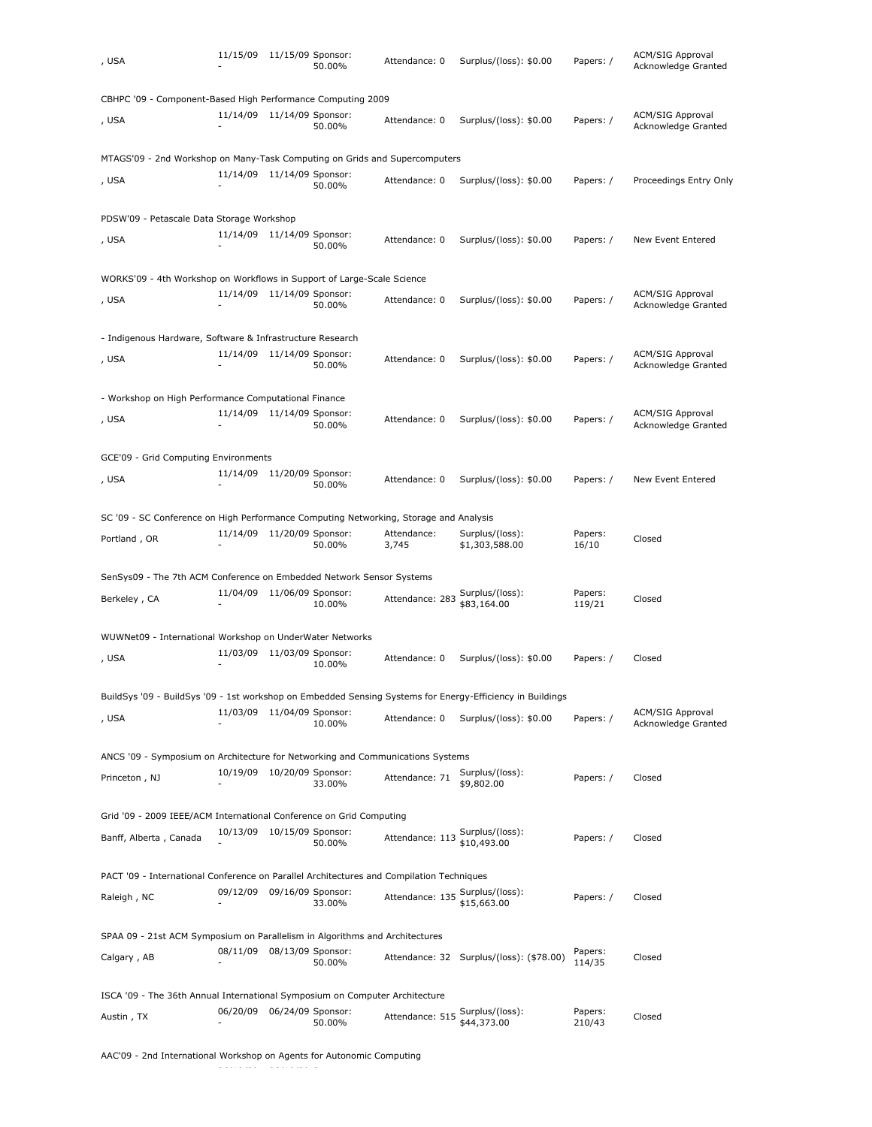| , USA                                                                                                     | 11/15/09                   | 11/15/09 Sponsor: | 50.00% | Attendance: 0        | Surplus/(loss): \$0.00                   | Papers: /         | ACM/SIG Approval<br>Acknowledge Granted        |
|-----------------------------------------------------------------------------------------------------------|----------------------------|-------------------|--------|----------------------|------------------------------------------|-------------------|------------------------------------------------|
| CBHPC '09 - Component-Based High Performance Computing 2009                                               |                            |                   |        |                      |                                          |                   |                                                |
| , USA                                                                                                     | 11/14/09 11/14/09 Sponsor: |                   | 50.00% | Attendance: 0        | Surplus/(loss): \$0.00                   | Papers: /         | ACM/SIG Approval<br>Acknowledge Granted        |
| MTAGS'09 - 2nd Workshop on Many-Task Computing on Grids and Supercomputers                                |                            |                   |        |                      |                                          |                   |                                                |
| , USA                                                                                                     | 11/14/09 11/14/09 Sponsor: |                   | 50.00% | Attendance: 0        | Surplus/(loss): \$0.00                   | Papers: /         | Proceedings Entry Only                         |
| PDSW'09 - Petascale Data Storage Workshop                                                                 |                            |                   |        |                      |                                          |                   |                                                |
| , USA                                                                                                     | 11/14/09 11/14/09 Sponsor: |                   | 50.00% | Attendance: 0        | Surplus/(loss): \$0.00                   | Papers: /         | New Event Entered                              |
| WORKS'09 - 4th Workshop on Workflows in Support of Large-Scale Science                                    |                            |                   |        |                      |                                          |                   |                                                |
| , USA                                                                                                     | 11/14/09 11/14/09 Sponsor: |                   | 50.00% | Attendance: 0        | Surplus/(loss): \$0.00                   | Papers: /         | <b>ACM/SIG Approval</b><br>Acknowledge Granted |
| - Indigenous Hardware, Software & Infrastructure Research                                                 |                            |                   |        |                      |                                          |                   |                                                |
| , USA                                                                                                     | 11/14/09 11/14/09 Sponsor: |                   | 50.00% | Attendance: 0        | Surplus/(loss): \$0.00                   | Papers: /         | <b>ACM/SIG Approval</b><br>Acknowledge Granted |
| - Workshop on High Performance Computational Finance                                                      |                            |                   |        |                      |                                          |                   |                                                |
| , USA                                                                                                     | 11/14/09 11/14/09 Sponsor: |                   | 50.00% | Attendance: 0        | Surplus/(loss): \$0.00                   | Papers: /         | <b>ACM/SIG Approval</b><br>Acknowledge Granted |
| GCE'09 - Grid Computing Environments                                                                      |                            |                   |        |                      |                                          |                   |                                                |
| , USA                                                                                                     | 11/14/09 11/20/09 Sponsor: |                   | 50.00% | Attendance: 0        | Surplus/(loss): \$0.00                   | Papers: /         | New Event Entered                              |
| SC '09 - SC Conference on High Performance Computing Networking, Storage and Analysis                     |                            |                   |        |                      |                                          |                   |                                                |
| Portland, OR                                                                                              | 11/14/09 11/20/09 Sponsor: |                   | 50.00% | Attendance:<br>3,745 | Surplus/(loss):<br>\$1,303,588.00        | Papers:<br>16/10  | Closed                                         |
| SenSys09 - The 7th ACM Conference on Embedded Network Sensor Systems                                      |                            |                   |        |                      |                                          |                   |                                                |
| Berkeley, CA                                                                                              | 11/04/09 11/06/09 Sponsor: |                   | 10.00% | Attendance: 283      | Surplus/(loss):<br>\$83,164.00           | Papers:<br>119/21 | Closed                                         |
| WUWNet09 - International Workshop on UnderWater Networks                                                  |                            |                   |        |                      |                                          |                   |                                                |
| , USA                                                                                                     | 11/03/09                   | 11/03/09 Sponsor: | 10.00% | Attendance: 0        | Surplus/(loss): \$0.00                   | Papers: /         | Closed                                         |
| BuildSys '09 - BuildSys '09 - 1st workshop on Embedded Sensing Systems for Energy-Efficiency in Buildings |                            |                   |        |                      |                                          |                   |                                                |
| , USA                                                                                                     | 11/03/09                   | 11/04/09 Sponsor: | 10.00% | Attendance: 0        | Surplus/(loss): \$0.00                   | Papers: /         | <b>ACM/SIG Approval</b><br>Acknowledge Granted |
| ANCS '09 - Symposium on Architecture for Networking and Communications Systems                            |                            |                   |        |                      |                                          |                   |                                                |
| Princeton, NJ                                                                                             | 10/19/09 10/20/09 Sponsor: |                   | 33.00% | Attendance: 71       | Surplus/(loss):<br>\$9,802.00            | Papers: /         | Closed                                         |
| Grid '09 - 2009 IEEE/ACM International Conference on Grid Computing                                       |                            |                   |        |                      |                                          |                   |                                                |
| Banff, Alberta, Canada                                                                                    | 10/13/09                   | 10/15/09 Sponsor: | 50.00% | Attendance: 113      | Surplus/(loss):<br>\$10,493.00           | Papers: /         | Closed                                         |
| PACT '09 - International Conference on Parallel Architectures and Compilation Techniques                  |                            |                   |        |                      |                                          |                   |                                                |
| Raleigh, NC                                                                                               | 09/12/09 09/16/09 Sponsor: |                   | 33.00% | Attendance: 135      | Surplus/(loss):<br>\$15,663.00           | Papers: /         | Closed                                         |
| SPAA 09 - 21st ACM Symposium on Parallelism in Algorithms and Architectures                               |                            |                   |        |                      |                                          |                   |                                                |
| Calgary, AB                                                                                               | 08/11/09                   | 08/13/09 Sponsor: | 50.00% |                      | Attendance: 32 Surplus/(loss): (\$78.00) | Papers:<br>114/35 | Closed                                         |
| ISCA '09 - The 36th Annual International Symposium on Computer Architecture                               |                            |                   |        |                      |                                          |                   |                                                |
| Austin, TX                                                                                                | 06/20/09 06/24/09 Sponsor: |                   | 50.00% | Attendance: 515      | Surplus/(loss):<br>\$44,373.00           | Papers:<br>210/43 | Closed                                         |

AAC'09 - 2nd International Workshop on Agents for Autonomic Computing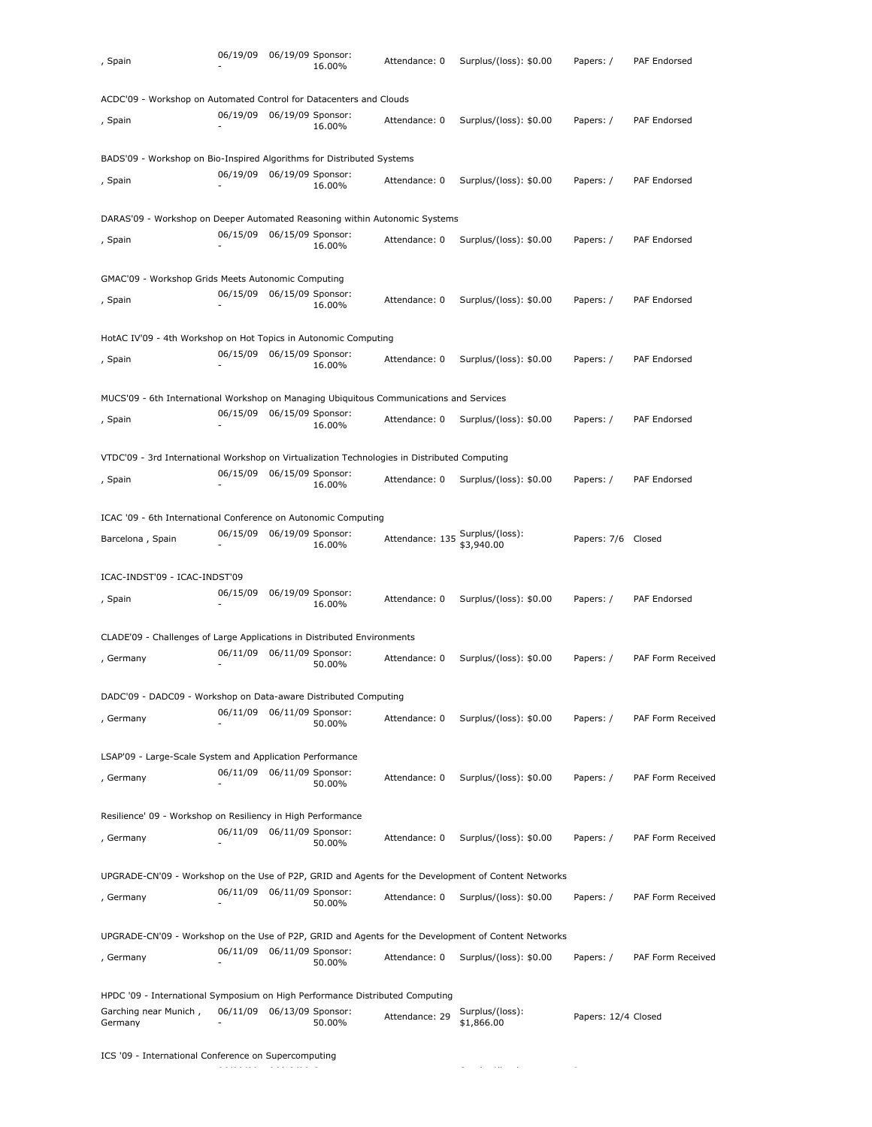| , Spain                                                                                                          | 06/19/09 | 06/19/09 Sponsor:          | 16.00% | Attendance: 0   | Surplus/(loss): \$0.00                                                                              | Papers: /           | PAF Endorsed      |
|------------------------------------------------------------------------------------------------------------------|----------|----------------------------|--------|-----------------|-----------------------------------------------------------------------------------------------------|---------------------|-------------------|
| ACDC'09 - Workshop on Automated Control for Datacenters and Clouds                                               |          |                            |        |                 |                                                                                                     |                     |                   |
| , Spain                                                                                                          | 06/19/09 | 06/19/09 Sponsor:          | 16.00% | Attendance: 0   | Surplus/(loss): \$0.00                                                                              | Papers: /           | PAF Endorsed      |
| BADS'09 - Workshop on Bio-Inspired Algorithms for Distributed Systems                                            |          |                            |        |                 |                                                                                                     |                     |                   |
| , Spain                                                                                                          | 06/19/09 | 06/19/09 Sponsor:          | 16.00% | Attendance: 0   | Surplus/(loss): \$0.00                                                                              | Papers: /           | PAF Endorsed      |
| DARAS'09 - Workshop on Deeper Automated Reasoning within Autonomic Systems                                       |          |                            |        |                 |                                                                                                     |                     |                   |
| , Spain                                                                                                          | 06/15/09 | 06/15/09 Sponsor:          | 16.00% | Attendance: 0   | Surplus/(loss): \$0.00                                                                              | Papers: /           | PAF Endorsed      |
| GMAC'09 - Workshop Grids Meets Autonomic Computing                                                               |          |                            |        |                 |                                                                                                     |                     |                   |
| , Spain                                                                                                          | 06/15/09 | 06/15/09 Sponsor:          | 16.00% | Attendance: 0   | Surplus/(loss): \$0.00                                                                              | Papers: /           | PAF Endorsed      |
| HotAC IV'09 - 4th Workshop on Hot Topics in Autonomic Computing                                                  |          |                            |        |                 |                                                                                                     |                     |                   |
| , Spain                                                                                                          | 06/15/09 | 06/15/09 Sponsor:          | 16.00% | Attendance: 0   | Surplus/(loss): \$0.00                                                                              | Papers: /           | PAF Endorsed      |
| MUCS'09 - 6th International Workshop on Managing Ubiquitous Communications and Services                          |          |                            |        |                 |                                                                                                     |                     |                   |
| , Spain                                                                                                          | 06/15/09 | 06/15/09 Sponsor:          | 16.00% | Attendance: 0   | Surplus/(loss): \$0.00                                                                              | Papers: /           | PAF Endorsed      |
| VTDC'09 - 3rd International Workshop on Virtualization Technologies in Distributed Computing                     |          |                            |        |                 |                                                                                                     |                     |                   |
| , Spain                                                                                                          | 06/15/09 | 06/15/09 Sponsor:          | 16.00% | Attendance: 0   | Surplus/(loss): \$0.00                                                                              | Papers: /           | PAF Endorsed      |
| ICAC '09 - 6th International Conference on Autonomic Computing                                                   |          |                            |        |                 |                                                                                                     |                     |                   |
| Barcelona, Spain                                                                                                 | 06/15/09 | 06/19/09 Sponsor:          | 16.00% | Attendance: 135 | Surplus/(loss):<br>\$3,940.00                                                                       | Papers: 7/6 Closed  |                   |
| ICAC-INDST'09 - ICAC-INDST'09                                                                                    |          |                            |        |                 |                                                                                                     |                     |                   |
| , Spain                                                                                                          | 06/15/09 | 06/19/09 Sponsor:          | 16.00% | Attendance: 0   | Surplus/(loss): \$0.00                                                                              | Papers: /           | PAF Endorsed      |
| CLADE'09 - Challenges of Large Applications in Distributed Environments                                          |          |                            |        |                 |                                                                                                     |                     |                   |
| , Germany                                                                                                        | 06/11/09 | 06/11/09 Sponsor:          | 50.00% | Attendance: 0   | Surplus/(loss): \$0.00                                                                              | Papers: /           | PAF Form Received |
| DADC'09 - DADC09 - Workshop on Data-aware Distributed Computing                                                  |          |                            |        |                 |                                                                                                     |                     |                   |
| , Germany                                                                                                        | 06/11/09 | 06/11/09 Sponsor:          | 50.00% | Attendance: 0   | Surplus/(loss): \$0.00                                                                              | Papers: /           | PAF Form Received |
| LSAP'09 - Large-Scale System and Application Performance                                                         |          |                            |        |                 |                                                                                                     |                     |                   |
| , Germany                                                                                                        |          | 06/11/09 06/11/09 Sponsor: | 50.00% | Attendance: 0   | Surplus/(loss): \$0.00                                                                              | Papers: /           | PAF Form Received |
| Resilience' 09 - Workshop on Resiliency in High Performance                                                      |          |                            |        |                 |                                                                                                     |                     |                   |
| , Germany                                                                                                        | 06/11/09 | 06/11/09 Sponsor:          | 50.00% | Attendance: 0   | Surplus/(loss): \$0.00                                                                              | Papers: /           | PAF Form Received |
|                                                                                                                  |          |                            |        |                 | UPGRADE-CN'09 - Workshop on the Use of P2P, GRID and Agents for the Development of Content Networks |                     |                   |
| , Germany                                                                                                        |          | 06/11/09 06/11/09 Sponsor: | 50.00% | Attendance: 0   | Surplus/(loss): \$0.00                                                                              | Papers: /           | PAF Form Received |
|                                                                                                                  |          |                            |        |                 | UPGRADE-CN'09 - Workshop on the Use of P2P, GRID and Agents for the Development of Content Networks |                     |                   |
| , Germany                                                                                                        | 06/11/09 | 06/11/09 Sponsor:          | 50.00% | Attendance: 0   | Surplus/(loss): \$0.00                                                                              | Papers: /           | PAF Form Received |
| HPDC '09 - International Symposium on High Performance Distributed Computing<br>Garching near Munich,<br>Germany | 06/11/09 | 06/13/09 Sponsor:          | 50.00% | Attendance: 29  | Surplus/(loss):<br>\$1,866.00                                                                       | Papers: 12/4 Closed |                   |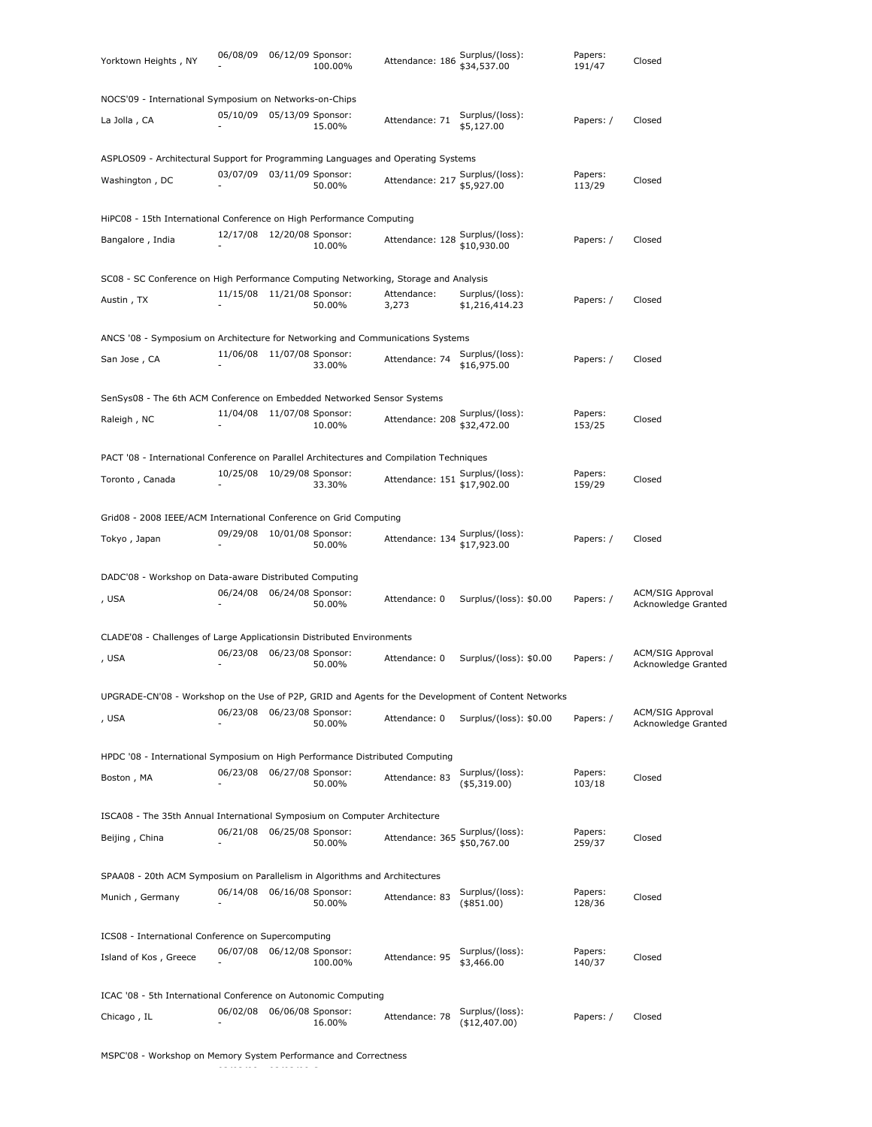| Yorktown Heights, NY                                                                                | 06/08/09 06/12/09 Sponsor: | 100.00% | Attendance: 186                                | Surplus/(loss):<br>\$34,537.00     | Papers:<br>191/47 | Closed                                         |
|-----------------------------------------------------------------------------------------------------|----------------------------|---------|------------------------------------------------|------------------------------------|-------------------|------------------------------------------------|
| NOCS'09 - International Symposium on Networks-on-Chips                                              |                            |         |                                                |                                    |                   |                                                |
| La Jolla , CA                                                                                       | 05/10/09 05/13/09 Sponsor: | 15.00%  | Attendance: 71                                 | Surplus/(loss):<br>\$5,127.00      | Papers: /         | Closed                                         |
| ASPLOS09 - Architectural Support for Programming Languages and Operating Systems                    |                            |         |                                                |                                    |                   |                                                |
| Washington, DC                                                                                      | 03/07/09 03/11/09 Sponsor: | 50.00%  | Attendance: 217 Surplus/(loss):<br>\$5,927.00  |                                    | Papers:<br>113/29 | Closed                                         |
| HiPC08 - 15th International Conference on High Performance Computing                                |                            |         |                                                |                                    |                   |                                                |
| Bangalore, India                                                                                    | 12/17/08 12/20/08 Sponsor: | 10.00%  | Attendance: 128                                | Surplus/(loss):<br>\$10,930.00     | Papers: /         | Closed                                         |
| SC08 - SC Conference on High Performance Computing Networking, Storage and Analysis                 |                            |         |                                                |                                    |                   |                                                |
| Austin, TX                                                                                          | 11/15/08 11/21/08 Sponsor: | 50.00%  | Attendance:<br>3,273                           | Surplus/(loss):<br>\$1,216,414.23  | Papers: /         | Closed                                         |
| ANCS '08 - Symposium on Architecture for Networking and Communications Systems                      |                            |         |                                                |                                    |                   |                                                |
| San Jose, CA                                                                                        | 11/06/08 11/07/08 Sponsor: | 33.00%  | Attendance: 74                                 | Surplus/(loss):<br>\$16,975.00     | Papers: /         | Closed                                         |
| SenSys08 - The 6th ACM Conference on Embedded Networked Sensor Systems                              |                            |         |                                                |                                    |                   |                                                |
| Raleigh, NC                                                                                         | 11/04/08 11/07/08 Sponsor: | 10.00%  | Attendance: 208                                | Surplus/(loss):<br>\$32,472.00     | Papers:<br>153/25 | Closed                                         |
| PACT '08 - International Conference on Parallel Architectures and Compilation Techniques            |                            |         |                                                |                                    |                   |                                                |
| Toronto, Canada                                                                                     | 10/25/08 10/29/08 Sponsor: | 33.30%  | Attendance: 151 Surplus/(loss):<br>\$17,902.00 |                                    | Papers:<br>159/29 | Closed                                         |
| Grid08 - 2008 IEEE/ACM International Conference on Grid Computing                                   |                            |         |                                                |                                    |                   |                                                |
| Tokyo, Japan                                                                                        | 09/29/08 10/01/08 Sponsor: | 50.00%  | Attendance: 134 Surplus/(loss):<br>\$17,923.00 |                                    | Papers: /         | Closed                                         |
| DADC'08 - Workshop on Data-aware Distributed Computing                                              |                            |         |                                                |                                    |                   |                                                |
| , USA                                                                                               | 06/24/08 06/24/08 Sponsor: | 50.00%  | Attendance: 0                                  | Surplus/(loss): \$0.00             | Papers: /         | <b>ACM/SIG Approval</b><br>Acknowledge Granted |
| CLADE'08 - Challenges of Large Applicationsin Distributed Environments                              |                            |         |                                                |                                    |                   |                                                |
| , USA                                                                                               | 06/23/08 06/23/08 Sponsor: | 50.00%  | Attendance: 0                                  | Surplus/(loss): \$0.00             | Papers: /         | <b>ACM/SIG Approval</b><br>Acknowledge Granted |
| UPGRADE-CN'08 - Workshop on the Use of P2P, GRID and Agents for the Development of Content Networks |                            |         |                                                |                                    |                   |                                                |
| , USA                                                                                               | 06/23/08 06/23/08 Sponsor: | 50.00%  | Attendance: 0                                  | Surplus/(loss): \$0.00             | Papers: /         | <b>ACM/SIG Approval</b><br>Acknowledge Granted |
| HPDC '08 - International Symposium on High Performance Distributed Computing                        |                            |         |                                                |                                    |                   |                                                |
| Boston, MA                                                                                          | 06/23/08 06/27/08 Sponsor: | 50.00%  | Attendance: 83                                 | Surplus/(loss):<br>$($ \$5,319.00) | Papers:<br>103/18 | Closed                                         |
| ISCA08 - The 35th Annual International Symposium on Computer Architecture                           |                            |         |                                                |                                    |                   |                                                |
| Beijing, China                                                                                      | 06/21/08 06/25/08 Sponsor: | 50.00%  | Attendance: 365                                | Surplus/(loss):<br>\$50,767.00     | Papers:<br>259/37 | Closed                                         |
| SPAA08 - 20th ACM Symposium on Parallelism in Algorithms and Architectures                          |                            |         |                                                |                                    |                   |                                                |
| Munich, Germany                                                                                     | 06/14/08 06/16/08 Sponsor: | 50.00%  | Attendance: 83                                 | Surplus/(loss):<br>$(*851.00)$     | Papers:<br>128/36 | Closed                                         |
| ICS08 - International Conference on Supercomputing                                                  |                            |         |                                                |                                    |                   |                                                |
| Island of Kos, Greece                                                                               | 06/07/08 06/12/08 Sponsor: | 100.00% | Attendance: 95                                 | Surplus/(loss):<br>\$3,466.00      | Papers:<br>140/37 | Closed                                         |
| ICAC '08 - 5th International Conference on Autonomic Computing                                      |                            |         |                                                |                                    |                   |                                                |
| Chicago, IL                                                                                         | 06/02/08 06/06/08 Sponsor: | 16.00%  | Attendance: 78                                 | Surplus/(loss):<br>(\$12,407.00)   | Papers: /         | Closed                                         |

MSPC'08 - Workshop on Memory System Performance and Correctness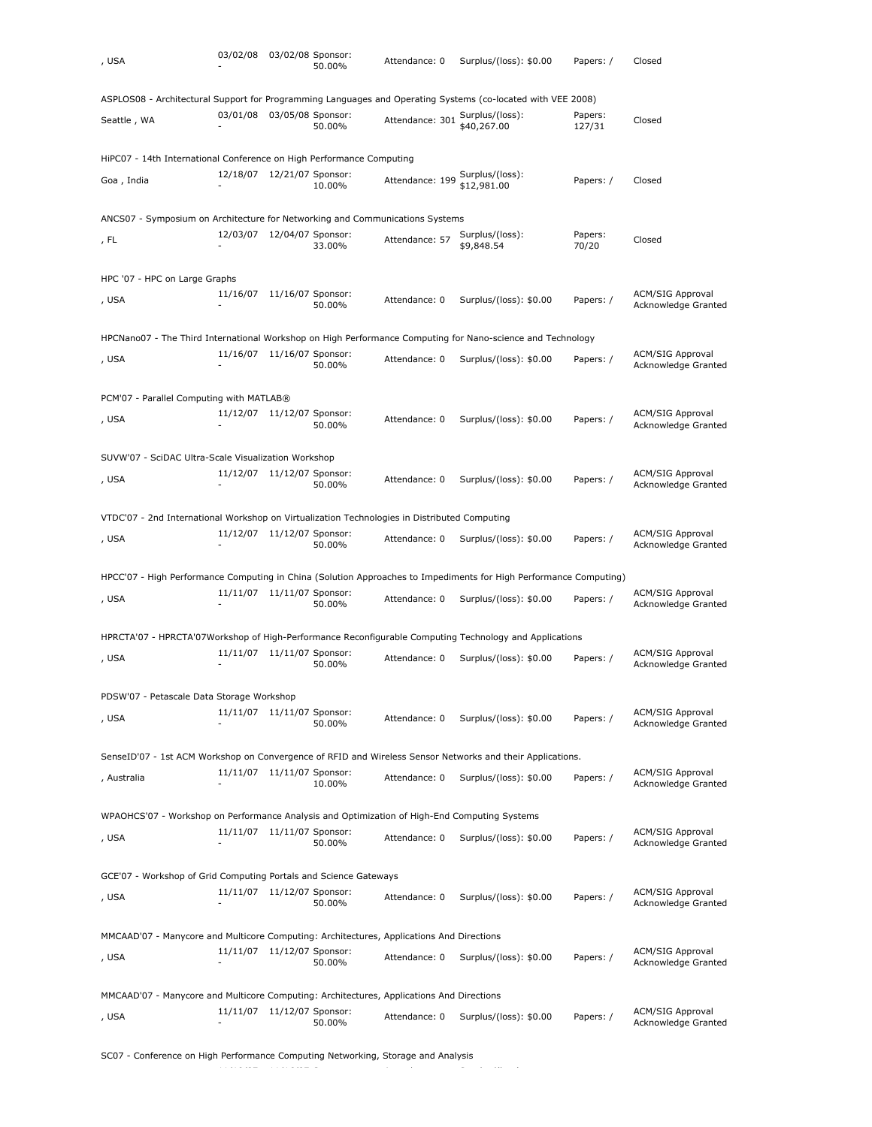| , USA                                                                                                             | 03/02/08 03/02/08 Sponsor:                               | 50.00% | Attendance: 0   | Surplus/(loss): \$0.00         | Papers: /         | Closed                                         |
|-------------------------------------------------------------------------------------------------------------------|----------------------------------------------------------|--------|-----------------|--------------------------------|-------------------|------------------------------------------------|
| ASPLOS08 - Architectural Support for Programming Languages and Operating Systems (co-located with VEE 2008)       |                                                          |        |                 |                                |                   |                                                |
| Seattle, WA                                                                                                       | 03/01/08 03/05/08 Sponsor:                               | 50.00% | Attendance: 301 | Surplus/(loss):<br>\$40,267.00 | Papers:<br>127/31 | Closed                                         |
| HiPC07 - 14th International Conference on High Performance Computing                                              |                                                          |        |                 |                                |                   |                                                |
| Goa, India                                                                                                        | 12/18/07  12/21/07  Sponsor:                             | 10.00% | Attendance: 199 | Surplus/(loss):<br>\$12,981.00 | Papers: /         | Closed                                         |
|                                                                                                                   |                                                          |        |                 |                                |                   |                                                |
| ANCS07 - Symposium on Architecture for Networking and Communications Systems                                      | 12/03/07  12/04/07  Sponsor:                             |        |                 | Surplus/(loss):                | Papers:           |                                                |
| , FL                                                                                                              |                                                          | 33.00% | Attendance: 57  | \$9,848.54                     | 70/20             | Closed                                         |
| HPC '07 - HPC on Large Graphs                                                                                     |                                                          |        |                 |                                |                   |                                                |
| , USA                                                                                                             | 11/16/07 11/16/07 Sponsor:                               | 50.00% | Attendance: 0   | Surplus/(loss): \$0.00         | Papers: /         | <b>ACM/SIG Approval</b><br>Acknowledge Granted |
| HPCNano07 - The Third International Workshop on High Performance Computing for Nano-science and Technology        |                                                          |        |                 |                                |                   |                                                |
| , USA                                                                                                             | 11/16/07 11/16/07 Sponsor:                               | 50.00% | Attendance: 0   | Surplus/(loss): \$0.00         | Papers: /         | <b>ACM/SIG Approval</b><br>Acknowledge Granted |
| PCM'07 - Parallel Computing with MATLAB®                                                                          |                                                          |        |                 |                                |                   |                                                |
| , USA                                                                                                             | 11/12/07  11/12/07  Sponsor:                             | 50.00% | Attendance: 0   | Surplus/(loss): \$0.00         | Papers: /         | <b>ACM/SIG Approval</b><br>Acknowledge Granted |
| SUVW'07 - SciDAC Ultra-Scale Visualization Workshop                                                               |                                                          |        |                 |                                |                   |                                                |
| , USA                                                                                                             | 11/12/07 11/12/07 Sponsor:                               | 50.00% | Attendance: 0   | Surplus/(loss): \$0.00         | Papers: /         | <b>ACM/SIG Approval</b><br>Acknowledge Granted |
| VTDC'07 - 2nd International Workshop on Virtualization Technologies in Distributed Computing                      |                                                          |        |                 |                                |                   |                                                |
| , USA                                                                                                             | 11/12/07 11/12/07 Sponsor:                               |        | Attendance: 0   | Surplus/(loss): \$0.00         | Papers: /         | <b>ACM/SIG Approval</b>                        |
|                                                                                                                   |                                                          | 50.00% |                 |                                |                   | Acknowledge Granted                            |
| HPCC'07 - High Performance Computing in China (Solution Approaches to Impediments for High Performance Computing) |                                                          |        |                 |                                |                   |                                                |
| , USA                                                                                                             | 11/11/07 11/11/07 Sponsor:                               | 50.00% | Attendance: 0   | Surplus/(loss): \$0.00         | Papers: /         | <b>ACM/SIG Approval</b><br>Acknowledge Granted |
| HPRCTA'07 - HPRCTA'07Workshop of High-Performance Reconfigurable Computing Technology and Applications            |                                                          |        |                 |                                |                   |                                                |
| , USA                                                                                                             | 11/11/07 11/11/07 Sponsor:                               |        | Attendance: 0   | Surplus/(loss): \$0.00         | Papers: /         | <b>ACM/SIG Approval</b>                        |
|                                                                                                                   |                                                          | 50.00% |                 |                                |                   | Acknowledge Granted                            |
| PDSW'07 - Petascale Data Storage Workshop                                                                         |                                                          |        |                 |                                |                   |                                                |
| , USA                                                                                                             | 11/11/07  11/11/07  Sponsor:                             | 50.00% | Attendance: 0   | Surplus/(loss): \$0.00         | Papers: /         | <b>ACM/SIG Approval</b><br>Acknowledge Granted |
| SenseID'07 - 1st ACM Workshop on Convergence of RFID and Wireless Sensor Networks and their Applications.         |                                                          |        |                 |                                |                   |                                                |
| , Australia                                                                                                       | 11/11/07 11/11/07 Sponsor:                               | 10.00% | Attendance: 0   | Surplus/(loss): \$0.00         | Papers: /         | <b>ACM/SIG Approval</b><br>Acknowledge Granted |
| WPAOHCS'07 - Workshop on Performance Analysis and Optimization of High-End Computing Systems                      |                                                          |        |                 |                                |                   |                                                |
| , USA                                                                                                             | 11/11/07  11/11/07  Sponsor:<br>$\overline{\phantom{a}}$ | 50.00% | Attendance: 0   | Surplus/(loss): \$0.00         | Papers: /         | <b>ACM/SIG Approval</b><br>Acknowledge Granted |
| GCE'07 - Workshop of Grid Computing Portals and Science Gateways                                                  |                                                          |        |                 |                                |                   |                                                |
| , USA                                                                                                             | 11/11/07 11/12/07 Sponsor:<br>٠                          | 50.00% | Attendance: 0   | Surplus/(loss): \$0.00         | Papers: /         | <b>ACM/SIG Approval</b><br>Acknowledge Granted |
| MMCAAD'07 - Manycore and Multicore Computing: Architectures, Applications And Directions                          |                                                          |        |                 |                                |                   |                                                |
| , USA                                                                                                             | 11/11/07 11/12/07 Sponsor:<br>$\overline{\phantom{a}}$   | 50.00% | Attendance: 0   | Surplus/(loss): \$0.00         | Papers: /         | <b>ACM/SIG Approval</b><br>Acknowledge Granted |
| MMCAAD'07 - Manycore and Multicore Computing: Architectures, Applications And Directions                          |                                                          |        |                 |                                |                   |                                                |
| , USA                                                                                                             | 11/11/07 11/12/07 Sponsor:                               | 50.00% | Attendance: 0   | Surplus/(loss): \$0.00         | Papers: /         | <b>ACM/SIG Approval</b><br>Acknowledge Granted |
|                                                                                                                   |                                                          |        |                 |                                |                   |                                                |

SC07 - Conference on High Performance Computing Networking, Storage and Analysis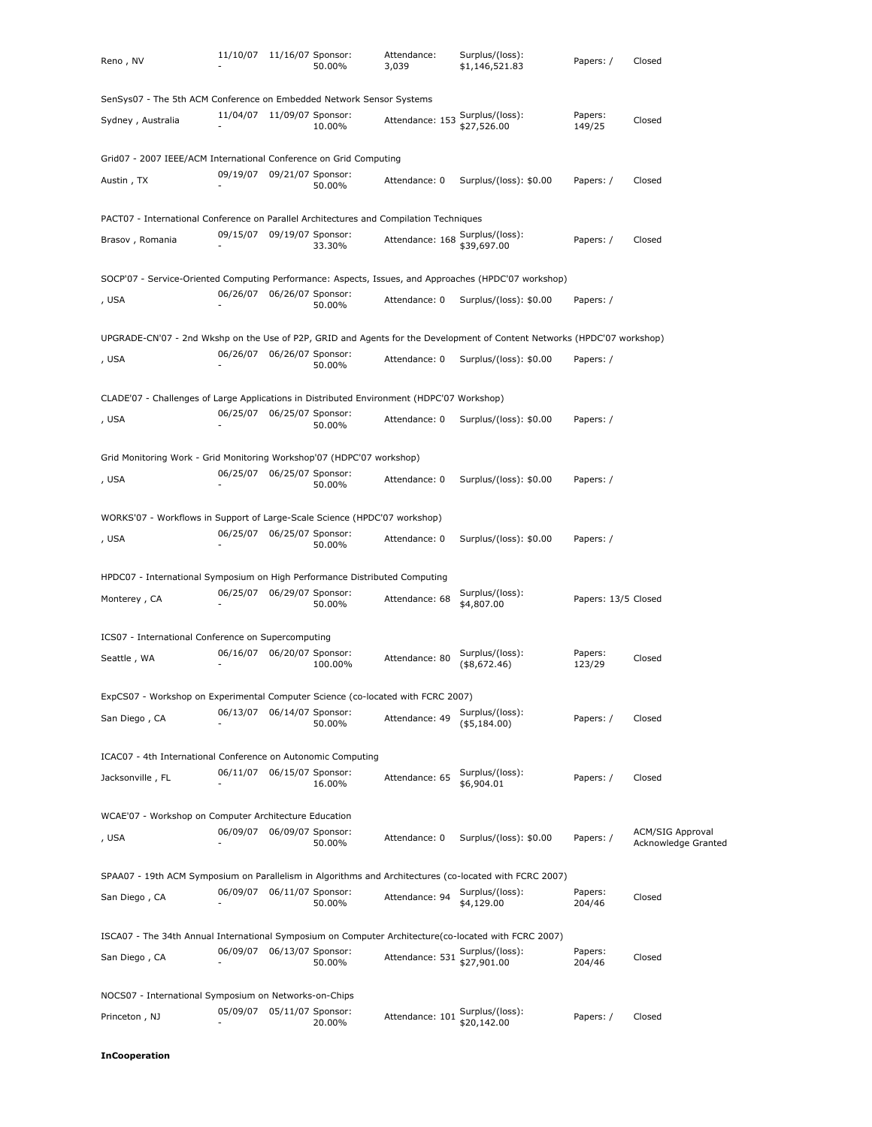| Reno, NV                                                                                                                | 11/10/07 11/16/07 Sponsor: |                   | 50.00%  | Attendance:<br>3,039 | Surplus/(loss):<br>\$1,146,521.83 | Papers: /           | Closed                                         |
|-------------------------------------------------------------------------------------------------------------------------|----------------------------|-------------------|---------|----------------------|-----------------------------------|---------------------|------------------------------------------------|
| SenSys07 - The 5th ACM Conference on Embedded Network Sensor Systems                                                    |                            |                   |         |                      |                                   |                     |                                                |
| Sydney, Australia                                                                                                       | 11/04/07 11/09/07 Sponsor: |                   | 10.00%  | Attendance: 153      | Surplus/(loss):<br>\$27,526.00    | Papers:<br>149/25   | Closed                                         |
| Grid07 - 2007 IEEE/ACM International Conference on Grid Computing                                                       |                            |                   |         |                      |                                   |                     |                                                |
| Austin, TX                                                                                                              | 09/19/07                   | 09/21/07 Sponsor: | 50.00%  | Attendance: 0        | Surplus/(loss): \$0.00            | Papers: /           | Closed                                         |
| PACT07 - International Conference on Parallel Architectures and Compilation Techniques                                  |                            |                   |         |                      |                                   |                     |                                                |
| Brasov, Romania                                                                                                         | 09/15/07 09/19/07 Sponsor: |                   | 33.30%  | Attendance: 168      | Surplus/(loss):<br>\$39,697.00    | Papers: /           | Closed                                         |
| SOCP'07 - Service-Oriented Computing Performance: Aspects, Issues, and Approaches (HPDC'07 workshop)                    |                            |                   |         |                      |                                   |                     |                                                |
| , USA                                                                                                                   | 06/26/07                   | 06/26/07 Sponsor: | 50.00%  | Attendance: 0        | Surplus/(loss): \$0.00            | Papers: /           |                                                |
| UPGRADE-CN'07 - 2nd Wkshp on the Use of P2P, GRID and Agents for the Development of Content Networks (HPDC'07 workshop) |                            |                   |         |                      |                                   |                     |                                                |
| , USA                                                                                                                   | 06/26/07                   | 06/26/07 Sponsor: | 50.00%  | Attendance: 0        | Surplus/(loss): \$0.00            | Papers: /           |                                                |
| CLADE'07 - Challenges of Large Applications in Distributed Environment (HDPC'07 Workshop)                               |                            |                   |         |                      |                                   |                     |                                                |
| , USA                                                                                                                   | 06/25/07                   | 06/25/07 Sponsor: | 50.00%  | Attendance: 0        | Surplus/(loss): \$0.00            | Papers: /           |                                                |
| Grid Monitoring Work - Grid Monitoring Workshop'07 (HDPC'07 workshop)                                                   |                            |                   |         |                      |                                   |                     |                                                |
| , USA                                                                                                                   | 06/25/07                   | 06/25/07 Sponsor: | 50.00%  | Attendance: 0        | Surplus/(loss): \$0.00            | Papers: /           |                                                |
| WORKS'07 - Workflows in Support of Large-Scale Science (HPDC'07 workshop)                                               |                            |                   |         |                      |                                   |                     |                                                |
| , USA                                                                                                                   | 06/25/07                   | 06/25/07 Sponsor: | 50.00%  | Attendance: 0        | Surplus/(loss): \$0.00            | Papers: /           |                                                |
| HPDC07 - International Symposium on High Performance Distributed Computing                                              |                            |                   |         |                      |                                   |                     |                                                |
| Monterey, CA                                                                                                            | 06/25/07                   | 06/29/07 Sponsor: | 50.00%  | Attendance: 68       | Surplus/(loss):<br>\$4,807.00     | Papers: 13/5 Closed |                                                |
| ICS07 - International Conference on Supercomputing                                                                      |                            |                   |         |                      |                                   |                     |                                                |
| Seattle, WA                                                                                                             | 06/16/07                   | 06/20/07 Sponsor: | 100.00% | Attendance: 80       | Surplus/(loss):<br>( \$8,672.46)  | Papers:<br>123/29   | Closed                                         |
| ExpCS07 - Workshop on Experimental Computer Science (co-located with FCRC 2007)                                         |                            |                   |         |                      |                                   |                     |                                                |
| San Diego, CA                                                                                                           | 06/13/07                   | 06/14/07 Sponsor: | 50.00%  | Attendance: 49       | Surplus/(loss):<br>( \$5,184.00)  | Papers: /           | Closed                                         |
| ICAC07 - 4th International Conference on Autonomic Computing                                                            |                            |                   |         |                      |                                   |                     |                                                |
| Jacksonville, FL                                                                                                        | 06/11/07 06/15/07 Sponsor: |                   | 16.00%  | Attendance: 65       | Surplus/(loss):<br>\$6,904.01     | Papers: /           | Closed                                         |
| WCAE'07 - Workshop on Computer Architecture Education                                                                   |                            |                   |         |                      |                                   |                     |                                                |
| , USA                                                                                                                   | 06/09/07                   | 06/09/07 Sponsor: | 50.00%  | Attendance: 0        | Surplus/(loss): \$0.00            | Papers: /           | <b>ACM/SIG Approval</b><br>Acknowledge Granted |
| SPAA07 - 19th ACM Symposium on Parallelism in Algorithms and Architectures (co-located with FCRC 2007)                  |                            |                   |         |                      |                                   |                     |                                                |
| San Diego, CA                                                                                                           | 06/09/07 06/11/07 Sponsor: |                   | 50.00%  | Attendance: 94       | Surplus/(loss):<br>\$4,129.00     | Papers:<br>204/46   | Closed                                         |
| ISCA07 - The 34th Annual International Symposium on Computer Architecture(co-located with FCRC 2007)                    |                            |                   |         |                      |                                   |                     |                                                |
| San Diego, CA                                                                                                           | 06/09/07                   | 06/13/07 Sponsor: | 50.00%  | Attendance: 531      | Surplus/(loss):<br>\$27,901.00    | Papers:<br>204/46   | Closed                                         |
| NOCS07 - International Symposium on Networks-on-Chips                                                                   |                            |                   |         |                      |                                   |                     |                                                |
| Princeton , NJ                                                                                                          | 05/09/07 05/11/07 Sponsor: |                   | 20.00%  | Attendance: 101      | Surplus/(loss):<br>\$20,142.00    | Papers: /           | Closed                                         |

**InCooperation**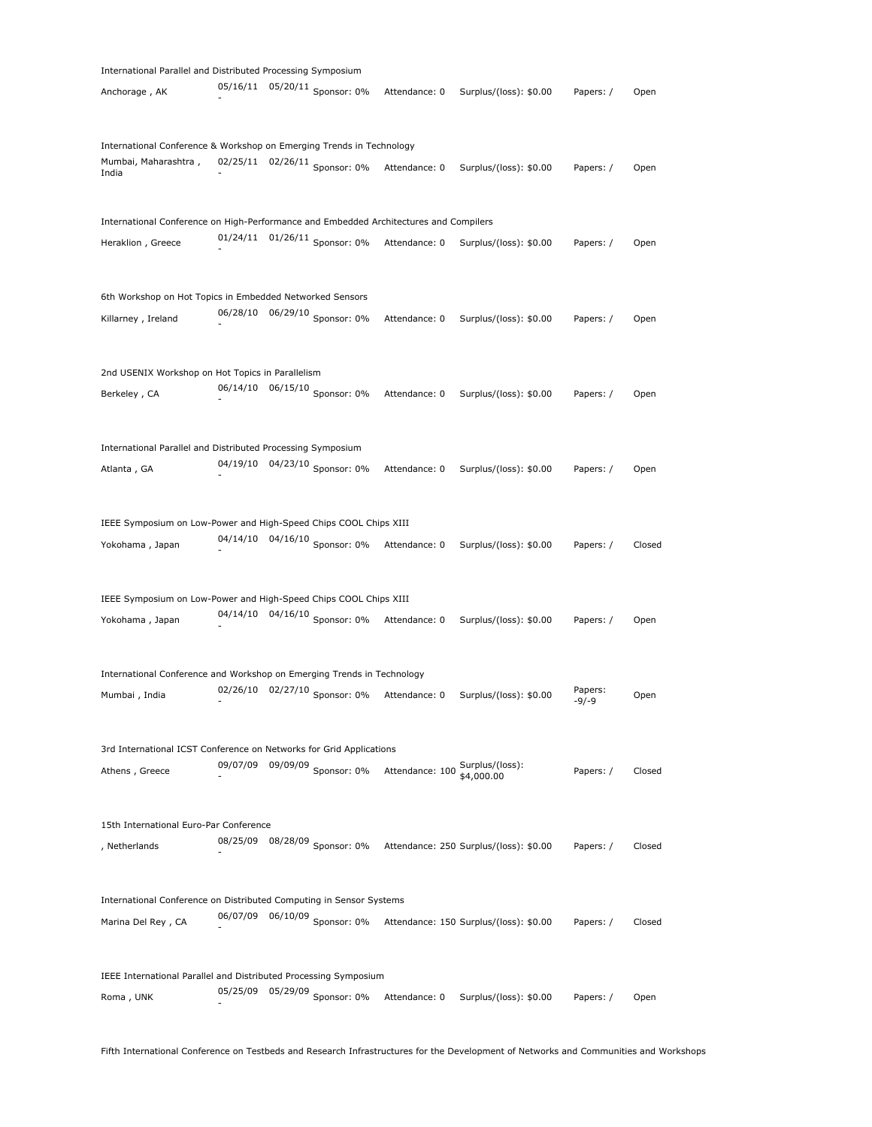| International Parallel and Distributed Processing Symposium                           |          |          |                                 |                                 |                                        |                  |        |
|---------------------------------------------------------------------------------------|----------|----------|---------------------------------|---------------------------------|----------------------------------------|------------------|--------|
| Anchorage, AK                                                                         |          |          | 05/16/11  05/20/11  Sponsor: 0% | Attendance: 0                   | Surplus/(loss): \$0.00                 | Papers: /        | Open   |
| International Conference & Workshop on Emerging Trends in Technology                  |          |          |                                 |                                 |                                        |                  |        |
| Mumbai, Maharashtra,<br>India                                                         |          |          | 02/25/11 02/26/11 Sponsor: 0%   | Attendance: 0                   | Surplus/(loss): \$0.00                 | Papers: /        | Open   |
| International Conference on High-Performance and Embedded Architectures and Compilers |          |          |                                 |                                 |                                        |                  |        |
| Heraklion, Greece                                                                     |          |          | 01/24/11 01/26/11 Sponsor: 0%   | Attendance: 0                   | Surplus/(loss): \$0.00                 | Papers: /        | Open   |
| 6th Workshop on Hot Topics in Embedded Networked Sensors                              |          |          |                                 |                                 |                                        |                  |        |
| Killarney, Ireland                                                                    |          |          | 06/28/10 06/29/10 Sponsor: 0%   | Attendance: 0                   | Surplus/(loss): \$0.00                 | Papers: /        | Open   |
| 2nd USENIX Workshop on Hot Topics in Parallelism                                      |          |          |                                 |                                 |                                        |                  |        |
| Berkeley, CA                                                                          |          |          | 06/14/10  06/15/10  Sponsor: 0% | Attendance: 0                   | Surplus/(loss): \$0.00                 | Papers: /        | Open   |
| International Parallel and Distributed Processing Symposium                           |          |          |                                 |                                 |                                        |                  |        |
| Atlanta, GA                                                                           |          |          | 04/19/10  04/23/10  Sponsor: 0% | Attendance: 0                   | Surplus/(loss): \$0.00                 | Papers: /        | Open   |
| IEEE Symposium on Low-Power and High-Speed Chips COOL Chips XIII                      |          |          |                                 |                                 |                                        |                  |        |
| Yokohama, Japan                                                                       |          |          | 04/14/10  04/16/10  Sponsor: 0% | Attendance: 0                   | Surplus/(loss): \$0.00                 | Papers: /        | Closed |
| IEEE Symposium on Low-Power and High-Speed Chips COOL Chips XIII                      |          |          |                                 |                                 |                                        |                  |        |
| Yokohama, Japan                                                                       |          |          | 04/14/10  04/16/10  Sponsor: 0% | Attendance: 0                   | Surplus/(loss): \$0.00                 | Papers: /        | Open   |
| International Conference and Workshop on Emerging Trends in Technology                |          |          |                                 |                                 |                                        |                  |        |
| Mumbai, India                                                                         |          |          | 02/26/10 02/27/10 Sponsor: 0%   | Attendance: 0                   | Surplus/(loss): \$0.00                 | Papers:<br>-9/-9 | Open   |
| 3rd International ICST Conference on Networks for Grid Applications                   |          |          |                                 |                                 |                                        |                  |        |
| Athens, Greece                                                                        | 09/07/09 |          | 09/09/09 Sponsor: 0%            | Attendance: 100 Surplus/(loss): | \$4,000.00                             | Papers: /        | Closed |
| 15th International Euro-Par Conference                                                |          |          |                                 |                                 |                                        |                  |        |
| , Netherlands                                                                         |          |          | 08/25/09 08/28/09 Sponsor: 0%   |                                 | Attendance: 250 Surplus/(loss): \$0.00 | Papers: /        | Closed |
| International Conference on Distributed Computing in Sensor Systems                   |          |          |                                 |                                 |                                        |                  |        |
| Marina Del Rey, CA                                                                    | 06/07/09 |          | 06/10/09 Sponsor: 0%            |                                 | Attendance: 150 Surplus/(loss): \$0.00 | Papers: /        | Closed |
| IEEE International Parallel and Distributed Processing Symposium                      |          |          |                                 |                                 |                                        |                  |        |
| Roma, UNK                                                                             | 05/25/09 | 05/29/09 | Sponsor: 0%                     | Attendance: 0                   | Surplus/(loss): \$0.00                 | Papers: /        | Open   |
|                                                                                       |          |          |                                 |                                 |                                        |                  |        |

Fifth International Conference on Testbeds and Research Infrastructures for the Development of Networks and Communities and Workshops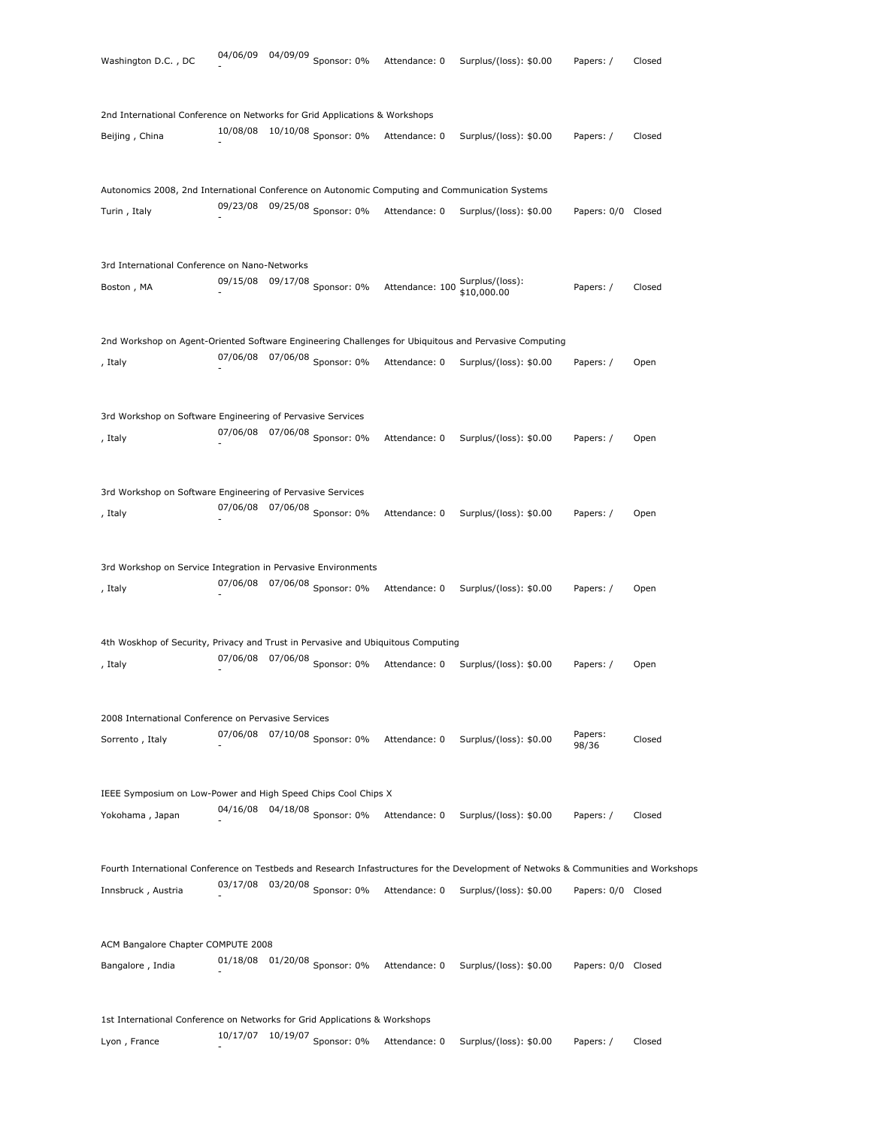| Washington D.C., DC                                                                                   | 04/06/09          | 04/09/09 Sponsor: 0%            | Attendance: 0                                  | Surplus/(loss): \$0.00                                                                                                             | Papers: /          | Closed |
|-------------------------------------------------------------------------------------------------------|-------------------|---------------------------------|------------------------------------------------|------------------------------------------------------------------------------------------------------------------------------------|--------------------|--------|
|                                                                                                       |                   |                                 |                                                |                                                                                                                                    |                    |        |
| 2nd International Conference on Networks for Grid Applications & Workshops                            |                   |                                 |                                                |                                                                                                                                    |                    |        |
| Beijing, China                                                                                        |                   | 10/08/08 10/10/08 Sponsor: 0%   | Attendance: 0                                  | Surplus/(loss): \$0.00                                                                                                             | Papers: /          | Closed |
| Autonomics 2008, 2nd International Conference on Autonomic Computing and Communication Systems        |                   |                                 |                                                |                                                                                                                                    |                    |        |
| Turin, Italy                                                                                          |                   | 09/23/08 09/25/08 Sponsor: 0%   | Attendance: 0                                  | Surplus/(loss): \$0.00                                                                                                             | Papers: 0/0 Closed |        |
|                                                                                                       |                   |                                 |                                                |                                                                                                                                    |                    |        |
| 3rd International Conference on Nano-Networks                                                         |                   |                                 |                                                |                                                                                                                                    |                    |        |
| Boston, MA                                                                                            |                   | 09/15/08 09/17/08 Sponsor: 0%   | Attendance: 100 Surplus/(loss):<br>\$10,000.00 |                                                                                                                                    | Papers: /          | Closed |
| 2nd Workshop on Agent-Oriented Software Engineering Challenges for Ubiquitous and Pervasive Computing |                   |                                 |                                                |                                                                                                                                    |                    |        |
| , Italy                                                                                               |                   | 07/06/08 07/06/08 Sponsor: 0%   | Attendance: 0                                  | Surplus/(loss): \$0.00                                                                                                             | Papers: /          | Open   |
|                                                                                                       |                   |                                 |                                                |                                                                                                                                    |                    |        |
| 3rd Workshop on Software Engineering of Pervasive Services                                            |                   |                                 |                                                |                                                                                                                                    |                    |        |
| , Italy                                                                                               | 07/06/08          | 07/06/08 Sponsor: 0%            | Attendance: 0                                  | Surplus/(loss): \$0.00                                                                                                             | Papers: /          | Open   |
|                                                                                                       |                   |                                 |                                                |                                                                                                                                    |                    |        |
| 3rd Workshop on Software Engineering of Pervasive Services                                            |                   |                                 |                                                |                                                                                                                                    |                    |        |
| , Italy                                                                                               |                   | 07/06/08 07/06/08 Sponsor: 0%   | Attendance: 0                                  | Surplus/(loss): \$0.00                                                                                                             | Papers: /          | Open   |
|                                                                                                       |                   |                                 |                                                |                                                                                                                                    |                    |        |
| 3rd Workshop on Service Integration in Pervasive Environments                                         |                   |                                 |                                                |                                                                                                                                    |                    |        |
| , Italy                                                                                               |                   | 07/06/08 07/06/08 Sponsor: 0%   | Attendance: 0                                  | Surplus/(loss): \$0.00                                                                                                             | Papers: /          | Open   |
| 4th Woskhop of Security, Privacy and Trust in Pervasive and Ubiquitous Computing                      |                   |                                 |                                                |                                                                                                                                    |                    |        |
|                                                                                                       | 07/06/08 07/06/08 | Sponsor: 0%                     | Attendance: 0                                  |                                                                                                                                    |                    |        |
| , Italy                                                                                               |                   |                                 |                                                | Surplus/(loss): \$0.00                                                                                                             | Papers: /          | Open   |
| 2008 International Conference on Pervasive Services                                                   |                   |                                 |                                                |                                                                                                                                    |                    |        |
| Sorrento, Italy                                                                                       |                   | 07/06/08 07/10/08 Sponsor: 0%   | Attendance: 0                                  | Surplus/(loss): \$0.00                                                                                                             | Papers:<br>98/36   | Closed |
|                                                                                                       |                   |                                 |                                                |                                                                                                                                    |                    |        |
| IEEE Symposium on Low-Power and High Speed Chips Cool Chips X                                         |                   |                                 |                                                |                                                                                                                                    |                    |        |
| Yokohama, Japan                                                                                       |                   | 04/16/08  04/18/08  Sponsor: 0% | Attendance: 0                                  | Surplus/(loss): \$0.00                                                                                                             | Papers: /          | Closed |
|                                                                                                       |                   |                                 |                                                | Fourth International Conference on Testbeds and Research Infastructures for the Development of Netwoks & Communities and Workshops |                    |        |
| Innsbruck, Austria                                                                                    | 03/17/08          | 03/20/08 Sponsor: 0%            | Attendance: 0                                  | Surplus/(loss): \$0.00                                                                                                             | Papers: 0/0 Closed |        |
|                                                                                                       |                   |                                 |                                                |                                                                                                                                    |                    |        |
| ACM Bangalore Chapter COMPUTE 2008                                                                    |                   |                                 |                                                |                                                                                                                                    |                    |        |
| Bangalore, India                                                                                      |                   | 01/18/08 01/20/08 Sponsor: 0%   | Attendance: 0                                  | Surplus/(loss): \$0.00                                                                                                             | Papers: 0/0 Closed |        |
|                                                                                                       |                   |                                 |                                                |                                                                                                                                    |                    |        |
| 1st International Conference on Networks for Grid Applications & Workshops                            |                   |                                 |                                                |                                                                                                                                    |                    |        |
| Lyon, France                                                                                          | 10/17/07          | $10/19/07$ Sponsor: 0%          | Attendance: 0                                  | Surplus/(loss): \$0.00                                                                                                             | Papers: /          | Closed |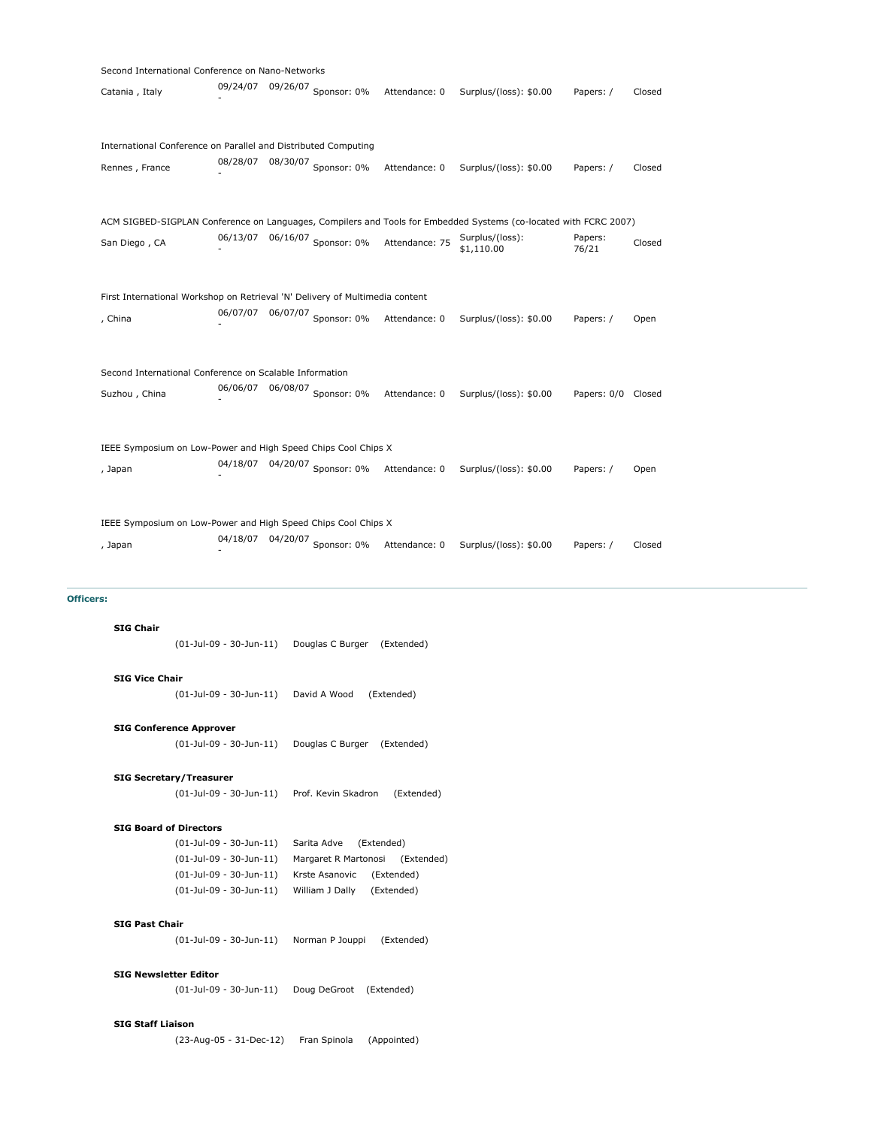| Second International Conference on Nano-Networks                             |          |  |                               |                |                                                                                                                  |                    |        |  |  |  |  |  |
|------------------------------------------------------------------------------|----------|--|-------------------------------|----------------|------------------------------------------------------------------------------------------------------------------|--------------------|--------|--|--|--|--|--|
| Catania, Italy                                                               | 09/24/07 |  | 09/26/07 Sponsor: 0%          | Attendance: 0  | Surplus/(loss): \$0.00                                                                                           | Papers: /          | Closed |  |  |  |  |  |
|                                                                              |          |  |                               |                |                                                                                                                  |                    |        |  |  |  |  |  |
| International Conference on Parallel and Distributed Computing               |          |  |                               |                |                                                                                                                  |                    |        |  |  |  |  |  |
| Rennes, France                                                               | 08/28/07 |  | 08/30/07 Sponsor: 0%          | Attendance: 0  | Surplus/(loss): \$0.00                                                                                           | Papers: /          | Closed |  |  |  |  |  |
|                                                                              |          |  |                               |                | ACM SIGBED-SIGPLAN Conference on Languages, Compilers and Tools for Embedded Systems (co-located with FCRC 2007) |                    |        |  |  |  |  |  |
| San Diego, CA                                                                | 06/13/07 |  | 06/16/07 Sponsor: $0\%$       | Attendance: 75 | Surplus/(loss):<br>\$1,110.00                                                                                    | Papers:<br>76/21   | Closed |  |  |  |  |  |
|                                                                              |          |  |                               |                |                                                                                                                  |                    |        |  |  |  |  |  |
| First International Workshop on Retrieval 'N' Delivery of Multimedia content |          |  |                               |                |                                                                                                                  |                    |        |  |  |  |  |  |
| , China                                                                      |          |  | 06/07/07 06/07/07 Sponsor: 0% | Attendance: 0  | Surplus/(loss): \$0.00                                                                                           | Papers: /          | Open   |  |  |  |  |  |
| Second International Conference on Scalable Information                      |          |  |                               |                |                                                                                                                  |                    |        |  |  |  |  |  |
| Suzhou , China                                                               |          |  | 06/06/07 06/08/07 Sponsor: 0% | Attendance: 0  | Surplus/(loss): \$0.00                                                                                           | Papers: 0/0 Closed |        |  |  |  |  |  |
| IEEE Symposium on Low-Power and High Speed Chips Cool Chips X                |          |  |                               |                |                                                                                                                  |                    |        |  |  |  |  |  |
|                                                                              |          |  |                               |                |                                                                                                                  |                    |        |  |  |  |  |  |
| , Japan                                                                      |          |  | 04/18/07 04/20/07 Sponsor: 0% | Attendance: 0  | Surplus/(loss): \$0.00                                                                                           | Papers: /          | Open   |  |  |  |  |  |
| IEEE Symposium on Low-Power and High Speed Chips Cool Chips X                |          |  |                               |                |                                                                                                                  |                    |        |  |  |  |  |  |
|                                                                              | 04/18/07 |  | 04/20/07 Sponsor: 0%          |                |                                                                                                                  |                    |        |  |  |  |  |  |
| , Japan                                                                      |          |  |                               | Attendance: 0  | Surplus/(loss): \$0.00                                                                                           | Papers: /          | Closed |  |  |  |  |  |

# **Officers:**

# **SIG Chair**

(01-Jul-09 - 30-Jun-11) Douglas C Burger (Extended)

#### **SIG Vice Chair**

(01-Jul-09 - 30-Jun-11) David A Wood (Extended)

# **SIG Conference Approver**

(01-Jul-09 - 30-Jun-11) Douglas C Burger (Extended)

# **SIG Secretary/Treasurer**

(01-Jul-09 - 30-Jun-11) Prof. Kevin Skadron (Extended)

#### **SIG Board of Directors**

(01-Jul-09 - 30-Jun-11) Sarita Adve (Extended) (01-Jul-09 - 30-Jun-11) Margaret R Martonosi (Extended) (01-Jul-09 - 30-Jun-11) Krste Asanovic (Extended) (01-Jul-09 - 30-Jun-11) William J Dally (Extended)

# **SIG Past Chair**

(01-Jul-09 - 30-Jun-11) Norman P Jouppi (Extended)

#### **SIG Newsletter Editor**

(01-Jul-09 - 30-Jun-11) Doug DeGroot (Extended)

#### **SIG Staff Liaison**

(23-Aug-05 - 31-Dec-12) Fran Spinola (Appointed)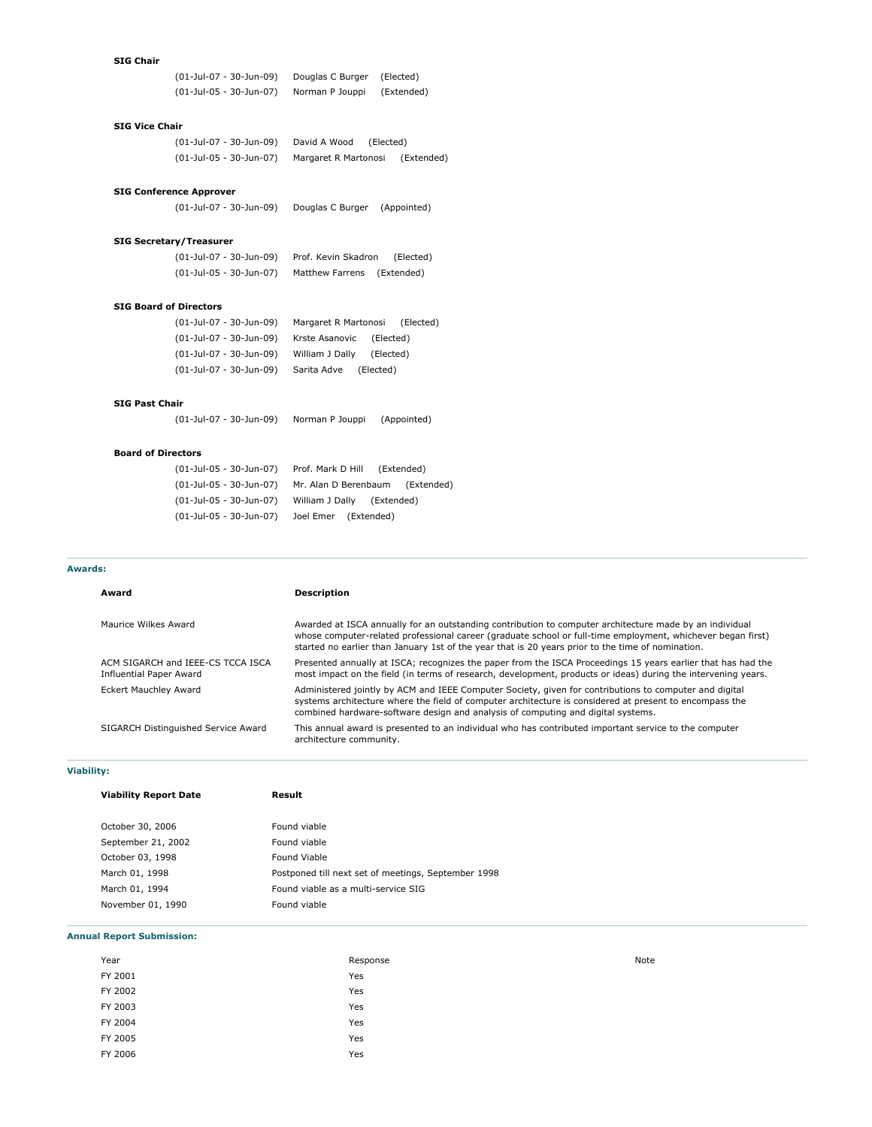#### **SIG Chair**

(01-Jul-07 - 30-Jun-09) Douglas C Burger (Elected) (01-Jul-05 - 30-Jun-07) Norman P Jouppi (Extended)

# **SIG Vice Chair**

| (01-Jul-07 - 30-Jun-09) | David A Wood         | (Elected)  |
|-------------------------|----------------------|------------|
| (01-Jul-05 - 30-Jun-07) | Margaret R Martonosi | (Extended) |

#### **SIG Conference Approver**

(01-Jul-07 - 30-Jun-09) Douglas C Burger (Appointed)

### **SIG Secretary/Treasurer**

| (01-Jul-07 - 30-Jun-09) | Prof. Kevin Skadron        | (Elected) |
|-------------------------|----------------------------|-----------|
| (01-Jul-05 - 30-Jun-07) | Matthew Farrens (Extended) |           |

#### **SIG Board of Directors**

| (01-Jul-07 - 30-Jun-09) | Margaret R Martonosi     | (Elected) |
|-------------------------|--------------------------|-----------|
| (01-Jul-07 - 30-Jun-09) | Krste Asanovic (Elected) |           |
| (01-Jul-07 - 30-Jun-09) | William J Dally          | (Elected) |
| (01-Jul-07 - 30-Jun-09) | Sarita Adve              | (Elected) |

# **SIG Past Chair**

(01-Jul-07 - 30-Jun-09) Norman P Jouppi (Appointed)

# **Board of Directors**

| (01-Jul-05 - 30-Jun-07) | Prof. Mark D Hill (Extended)    |
|-------------------------|---------------------------------|
| (01-Jul-05 - 30-Jun-07) | Mr. Alan D Berenbaum (Extended) |
| (01-Jul-05 - 30-Jun-07) | William J Dally (Extended)      |
| (01-Jul-05 - 30-Jun-07) | Joel Emer (Extended)            |

#### **Awards:**

| Award                                                               | <b>Description</b>                                                                                                                                                                                                                                                                                                          |
|---------------------------------------------------------------------|-----------------------------------------------------------------------------------------------------------------------------------------------------------------------------------------------------------------------------------------------------------------------------------------------------------------------------|
| Maurice Wilkes Award                                                | Awarded at ISCA annually for an outstanding contribution to computer architecture made by an individual<br>whose computer-related professional career (graduate school or full-time employment, whichever began first)<br>started no earlier than January 1st of the year that is 20 years prior to the time of nomination. |
| ACM SIGARCH and IEEE-CS TCCA ISCA<br><b>Influential Paper Award</b> | Presented annually at ISCA; recognizes the paper from the ISCA Proceedings 15 years earlier that has had the<br>most impact on the field (in terms of research, development, products or ideas) during the intervening years.                                                                                               |
| <b>Eckert Mauchley Award</b>                                        | Administered jointly by ACM and IEEE Computer Society, given for contributions to computer and digital<br>systems architecture where the field of computer architecture is considered at present to encompass the<br>combined hardware-software design and analysis of computing and digital systems.                       |
| SIGARCH Distinguished Service Award                                 | This annual award is presented to an individual who has contributed important service to the computer<br>architecture community.                                                                                                                                                                                            |

# **Viability:**

| <b>Viability Report Date</b> | Result                                              |
|------------------------------|-----------------------------------------------------|
| October 30, 2006             | Found viable                                        |
| September 21, 2002           | Found viable                                        |
| October 03, 1998             | Found Viable                                        |
| March 01, 1998               | Postponed till next set of meetings, September 1998 |
| March 01, 1994               | Found viable as a multi-service SIG                 |
| November 01, 1990            | Found viable                                        |

#### **Annual Report Submission:**

| Year    | Response | Note |
|---------|----------|------|
| FY 2001 | Yes      |      |
| FY 2002 | Yes      |      |
| FY 2003 | Yes      |      |
| FY 2004 | Yes      |      |
| FY 2005 | Yes      |      |
| FY 2006 | Yes      |      |